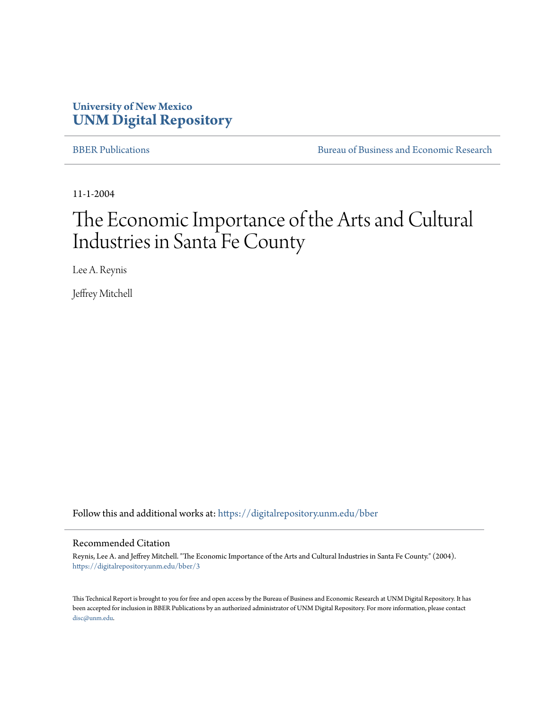# **University of New Mexico [UNM Digital Repository](https://digitalrepository.unm.edu?utm_source=digitalrepository.unm.edu%2Fbber%2F3&utm_medium=PDF&utm_campaign=PDFCoverPages)**

[BBER Publications](https://digitalrepository.unm.edu/bber?utm_source=digitalrepository.unm.edu%2Fbber%2F3&utm_medium=PDF&utm_campaign=PDFCoverPages) [Bureau of Business and Economic Research](https://digitalrepository.unm.edu/business_economic_research?utm_source=digitalrepository.unm.edu%2Fbber%2F3&utm_medium=PDF&utm_campaign=PDFCoverPages)

11-1-2004

# The Economic Importance of the Arts and Cultural Industries in Santa Fe County

Lee A. Reynis

Jeffrey Mitchell

Follow this and additional works at: [https://digitalrepository.unm.edu/bber](https://digitalrepository.unm.edu/bber?utm_source=digitalrepository.unm.edu%2Fbber%2F3&utm_medium=PDF&utm_campaign=PDFCoverPages)

#### Recommended Citation

Reynis, Lee A. and Jeffrey Mitchell. "The Economic Importance of the Arts and Cultural Industries in Santa Fe County." (2004). [https://digitalrepository.unm.edu/bber/3](https://digitalrepository.unm.edu/bber/3?utm_source=digitalrepository.unm.edu%2Fbber%2F3&utm_medium=PDF&utm_campaign=PDFCoverPages)

This Technical Report is brought to you for free and open access by the Bureau of Business and Economic Research at UNM Digital Repository. It has been accepted for inclusion in BBER Publications by an authorized administrator of UNM Digital Repository. For more information, please contact [disc@unm.edu](mailto:disc@unm.edu).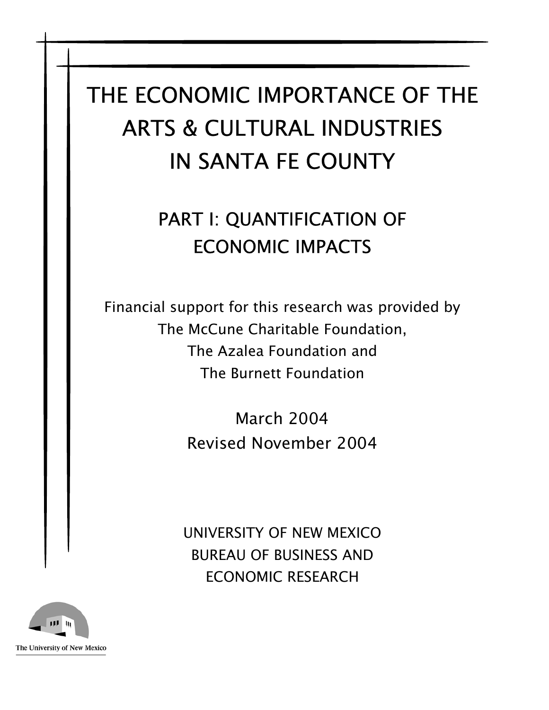# THE ECONOMIC IMPORTANCE OF THE ARTS & CULTURAL INDUSTRIES IN SANTA FE COUNTY

# PART I: QUANTIFICATION OF ECONOMIC IMPACTS

Financial support for this research was provided by The McCune Charitable Foundation, The Azalea Foundation and The Burnett Foundation

> March 2004 Revised November 2004

UNIVERSITY OF NEW MEXICO BUREAU OF BUSINESS AND ECONOMIC RESEARCH

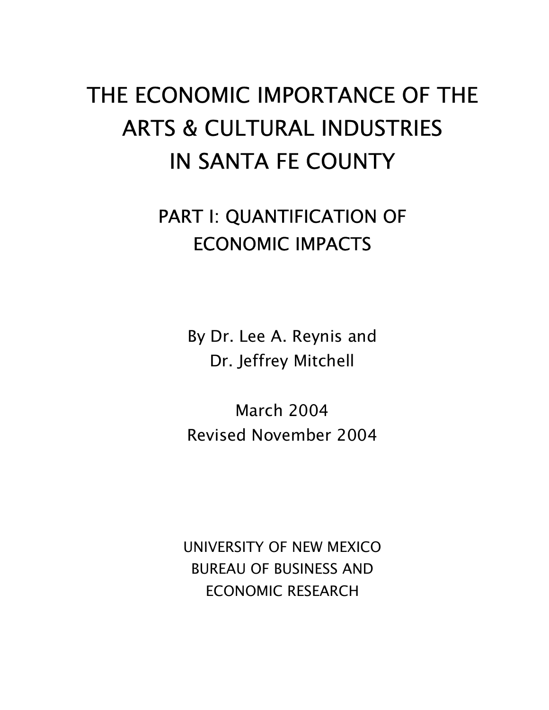# THE ECONOMIC IMPORTANCE OF THE ARTS & CULTURAL INDUSTRIES IN SANTA FE COUNTY

# PART I: QUANTIFICATION OF ECONOMIC IMPACTS

By Dr. Lee A. Reynis and Dr. Jeffrey Mitchell

March 2004 Revised November 2004

UNIVERSITY OF NEW MEXICO BUREAU OF BUSINESS AND ECONOMIC RESEARCH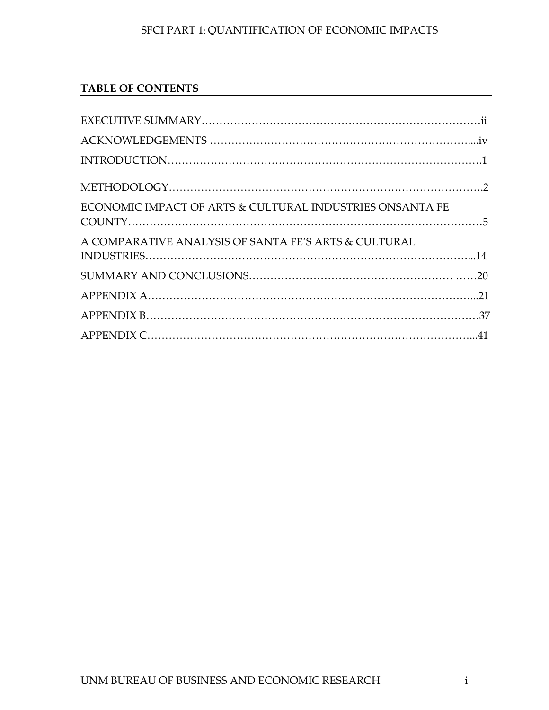# **TABLE OF CONTENTS**

| ECONOMIC IMPACT OF ARTS & CULTURAL INDUSTRIES ONSANTA FE |  |
|----------------------------------------------------------|--|
| A COMPARATIVE ANALYSIS OF SANTA FE'S ARTS & CULTURAL     |  |
|                                                          |  |
|                                                          |  |
|                                                          |  |
|                                                          |  |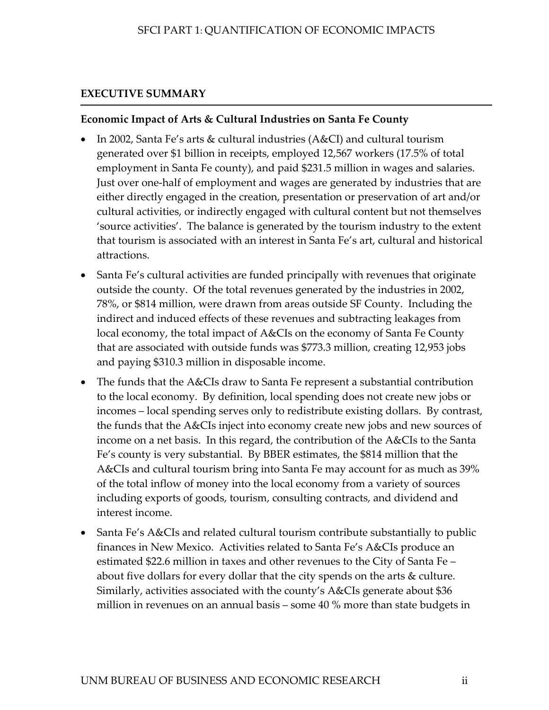# <span id="page-4-0"></span>**EXECUTIVE SUMMARY**

#### **Economic Impact of Arts & Cultural Industries on Santa Fe County**

- In 2002, Santa Fe's arts & cultural industries (A&CI) and cultural tourism generated over \$1 billion in receipts, employed 12,567 workers (17.5% of total employment in Santa Fe county), and paid \$231.5 million in wages and salaries. Just over one-half of employment and wages are generated by industries that are either directly engaged in the creation, presentation or preservation of art and/or cultural activities, or indirectly engaged with cultural content but not themselves 'source activities'. The balance is generated by the tourism industry to the extent that tourism is associated with an interest in Santa Fe's art, cultural and historical attractions.
- Santa Fe's cultural activities are funded principally with revenues that originate outside the county. Of the total revenues generated by the industries in 2002, 78%, or \$814 million, were drawn from areas outside SF County. Including the indirect and induced effects of these revenues and subtracting leakages from local economy, the total impact of A&CIs on the economy of Santa Fe County that are associated with outside funds was \$773.3 million, creating 12,953 jobs and paying \$310.3 million in disposable income.
- The funds that the A&CIs draw to Santa Fe represent a substantial contribution to the local economy. By definition, local spending does not create new jobs or incomes – local spending serves only to redistribute existing dollars. By contrast, the funds that the A&CIs inject into economy create new jobs and new sources of income on a net basis. In this regard, the contribution of the A&CIs to the Santa Fe's county is very substantial. By BBER estimates, the \$814 million that the A&CIs and cultural tourism bring into Santa Fe may account for as much as 39% of the total inflow of money into the local economy from a variety of sources including exports of goods, tourism, consulting contracts, and dividend and interest income.
- Santa Fe's A&CIs and related cultural tourism contribute substantially to public finances in New Mexico. Activities related to Santa Fe's A&CIs produce an estimated \$22.6 million in taxes and other revenues to the City of Santa Fe – about five dollars for every dollar that the city spends on the arts & culture. Similarly, activities associated with the county's A&CIs generate about \$36 million in revenues on an annual basis – some 40 % more than state budgets in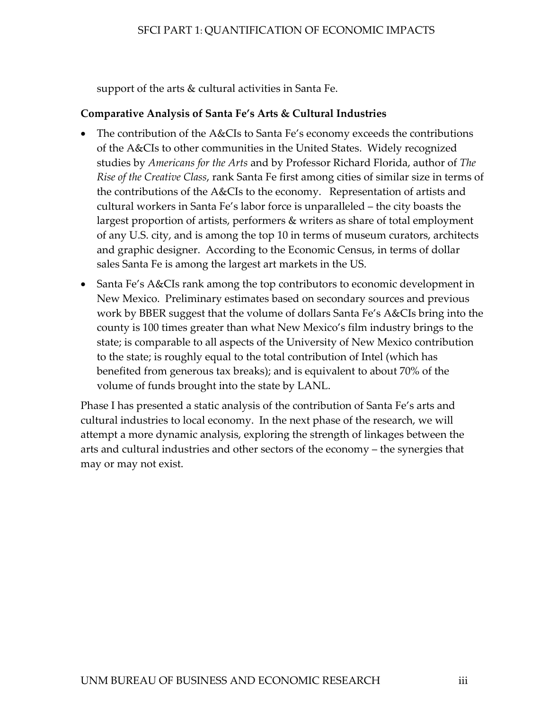support of the arts & cultural activities in Santa Fe.

#### **Comparative Analysis of Santa Fe's Arts & Cultural Industries**

- The contribution of the A&CIs to Santa Fe's economy exceeds the contributions of the A&CIs to other communities in the United States. Widely recognized studies by *Americans for the Arts* and by Professor Richard Florida, author of *The Rise of the Creative Class*, rank Santa Fe first among cities of similar size in terms of the contributions of the A&CIs to the economy. Representation of artists and cultural workers in Santa Fe's labor force is unparalleled – the city boasts the largest proportion of artists, performers & writers as share of total employment of any U.S. city, and is among the top 10 in terms of museum curators, architects and graphic designer. According to the Economic Census, in terms of dollar sales Santa Fe is among the largest art markets in the US.
- Santa Fe's A&CIs rank among the top contributors to economic development in New Mexico. Preliminary estimates based on secondary sources and previous work by BBER suggest that the volume of dollars Santa Fe's A&CIs bring into the county is 100 times greater than what New Mexico's film industry brings to the state; is comparable to all aspects of the University of New Mexico contribution to the state; is roughly equal to the total contribution of Intel (which has benefited from generous tax breaks); and is equivalent to about 70% of the volume of funds brought into the state by LANL.

Phase I has presented a static analysis of the contribution of Santa Fe's arts and cultural industries to local economy. In the next phase of the research, we will attempt a more dynamic analysis, exploring the strength of linkages between the arts and cultural industries and other sectors of the economy – the synergies that may or may not exist.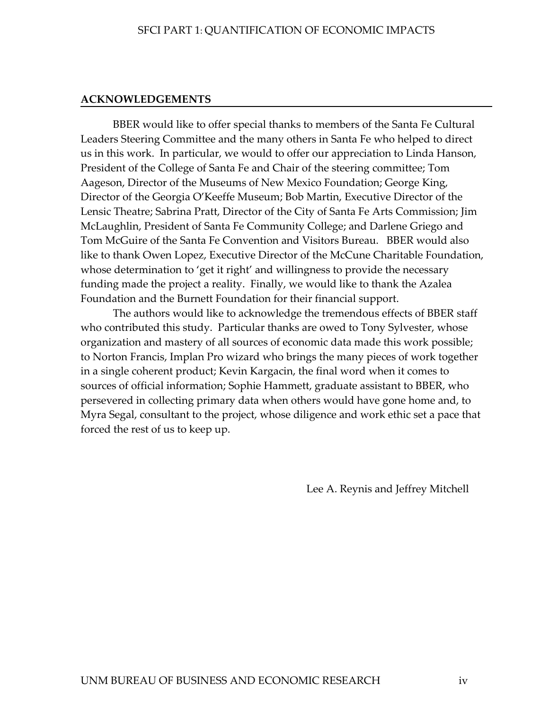#### <span id="page-6-0"></span>**ACKNOWLEDGEMENTS**

BBER would like to offer special thanks to members of the Santa Fe Cultural Leaders Steering Committee and the many others in Santa Fe who helped to direct us in this work. In particular, we would to offer our appreciation to Linda Hanson, President of the College of Santa Fe and Chair of the steering committee; Tom Aageson, Director of the Museums of New Mexico Foundation; George King, Director of the Georgia O'Keeffe Museum; Bob Martin, Executive Director of the Lensic Theatre; Sabrina Pratt, Director of the City of Santa Fe Arts Commission; Jim McLaughlin, President of Santa Fe Community College; and Darlene Griego and Tom McGuire of the Santa Fe Convention and Visitors Bureau. BBER would also like to thank Owen Lopez, Executive Director of the McCune Charitable Foundation, whose determination to 'get it right' and willingness to provide the necessary funding made the project a reality. Finally, we would like to thank the Azalea Foundation and the Burnett Foundation for their financial support.

The authors would like to acknowledge the tremendous effects of BBER staff who contributed this study. Particular thanks are owed to Tony Sylvester, whose organization and mastery of all sources of economic data made this work possible; to Norton Francis, Implan Pro wizard who brings the many pieces of work together in a single coherent product; Kevin Kargacin, the final word when it comes to sources of official information; Sophie Hammett, graduate assistant to BBER, who persevered in collecting primary data when others would have gone home and, to Myra Segal, consultant to the project, whose diligence and work ethic set a pace that forced the rest of us to keep up.

Lee A. Reynis and Jeffrey Mitchell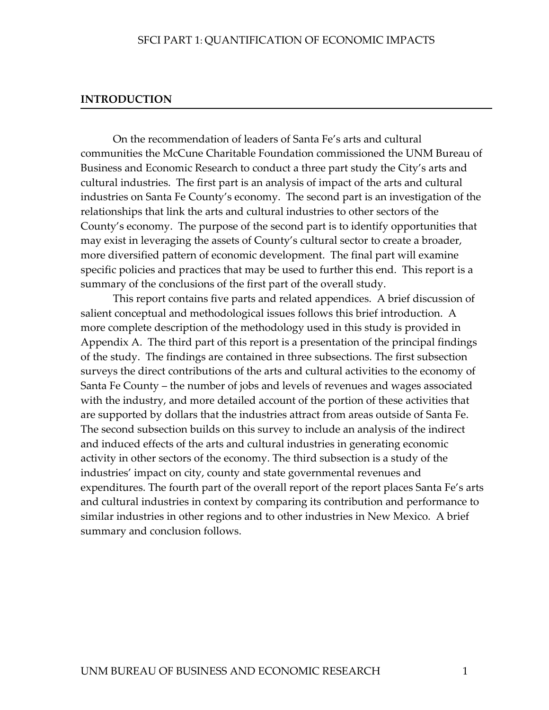#### <span id="page-7-0"></span>**INTRODUCTION**

On the recommendation of leaders of Santa Fe's arts and cultural communities the McCune Charitable Foundation commissioned the UNM Bureau of Business and Economic Research to conduct a three part study the City's arts and cultural industries. The first part is an analysis of impact of the arts and cultural industries on Santa Fe County's economy. The second part is an investigation of the relationships that link the arts and cultural industries to other sectors of the County's economy. The purpose of the second part is to identify opportunities that may exist in leveraging the assets of County's cultural sector to create a broader, more diversified pattern of economic development. The final part will examine specific policies and practices that may be used to further this end. This report is a summary of the conclusions of the first part of the overall study.

This report contains five parts and related appendices. A brief discussion of salient conceptual and methodological issues follows this brief introduction. A more complete description of the methodology used in this study is provided in Appendix A. The third part of this report is a presentation of the principal findings of the study. The findings are contained in three subsections. The first subsection surveys the direct contributions of the arts and cultural activities to the economy of Santa Fe County – the number of jobs and levels of revenues and wages associated with the industry, and more detailed account of the portion of these activities that are supported by dollars that the industries attract from areas outside of Santa Fe. The second subsection builds on this survey to include an analysis of the indirect and induced effects of the arts and cultural industries in generating economic activity in other sectors of the economy. The third subsection is a study of the industries' impact on city, county and state governmental revenues and expenditures. The fourth part of the overall report of the report places Santa Fe's arts and cultural industries in context by comparing its contribution and performance to similar industries in other regions and to other industries in New Mexico. A brief summary and conclusion follows.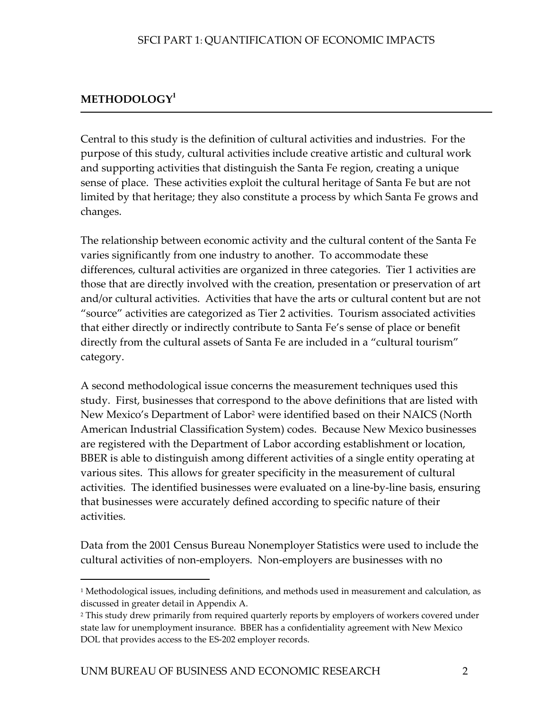# <span id="page-8-0"></span>**METHODOLOGY[1](#page-8-1)**

-

Central to this study is the definition of cultural activities and industries. For the purpose of this study, cultural activities include creative artistic and cultural work and supporting activities that distinguish the Santa Fe region, creating a unique sense of place. These activities exploit the cultural heritage of Santa Fe but are not limited by that heritage; they also constitute a process by which Santa Fe grows and changes.

The relationship between economic activity and the cultural content of the Santa Fe varies significantly from one industry to another. To accommodate these differences, cultural activities are organized in three categories. Tier 1 activities are those that are directly involved with the creation, presentation or preservation of art and/or cultural activities. Activities that have the arts or cultural content but are not "source" activities are categorized as Tier 2 activities. Tourism associated activities that either directly or indirectly contribute to Santa Fe's sense of place or benefit directly from the cultural assets of Santa Fe are included in a "cultural tourism" category.

A second methodological issue concerns the measurement techniques used this study. First, businesses that correspond to the above definitions that are listed with New Mexico's Department of Labor[2](#page-8-2) were identified based on their NAICS (North American Industrial Classification System) codes. Because New Mexico businesses are registered with the Department of Labor according establishment or location, BBER is able to distinguish among different activities of a single entity operating at various sites. This allows for greater specificity in the measurement of cultural activities. The identified businesses were evaluated on a line-by-line basis, ensuring that businesses were accurately defined according to specific nature of their activities.

Data from the 2001 Census Bureau Nonemployer Statistics were used to include the cultural activities of non-employers. Non-employers are businesses with no

<span id="page-8-1"></span><sup>&</sup>lt;sup>1</sup> Methodological issues, including definitions, and methods used in measurement and calculation, as discussed in greater detail in Appendix A.

<span id="page-8-2"></span><sup>&</sup>lt;sup>2</sup> This study drew primarily from required quarterly reports by employers of workers covered under state law for unemployment insurance. BBER has a confidentiality agreement with New Mexico DOL that provides access to the ES-202 employer records.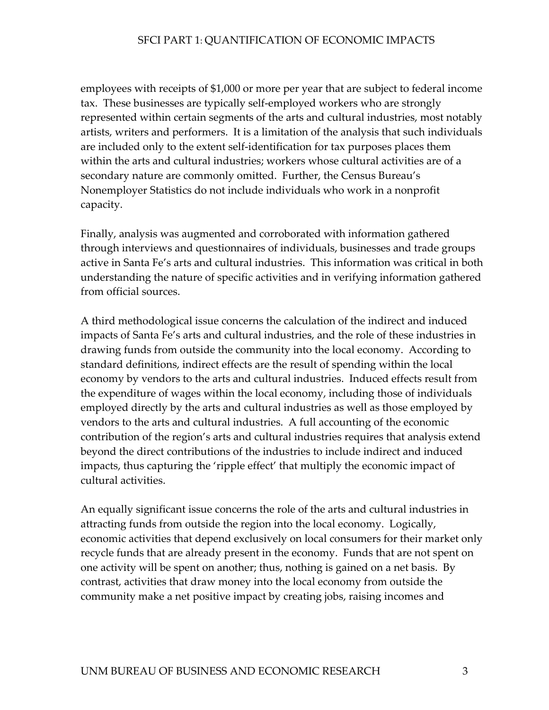employees with receipts of \$1,000 or more per year that are subject to federal income tax. These businesses are typically self-employed workers who are strongly represented within certain segments of the arts and cultural industries, most notably artists, writers and performers. It is a limitation of the analysis that such individuals are included only to the extent self-identification for tax purposes places them within the arts and cultural industries; workers whose cultural activities are of a secondary nature are commonly omitted. Further, the Census Bureau's Nonemployer Statistics do not include individuals who work in a nonprofit capacity.

Finally, analysis was augmented and corroborated with information gathered through interviews and questionnaires of individuals, businesses and trade groups active in Santa Fe's arts and cultural industries. This information was critical in both understanding the nature of specific activities and in verifying information gathered from official sources.

A third methodological issue concerns the calculation of the indirect and induced impacts of Santa Fe's arts and cultural industries, and the role of these industries in drawing funds from outside the community into the local economy. According to standard definitions, indirect effects are the result of spending within the local economy by vendors to the arts and cultural industries. Induced effects result from the expenditure of wages within the local economy, including those of individuals employed directly by the arts and cultural industries as well as those employed by vendors to the arts and cultural industries. A full accounting of the economic contribution of the region's arts and cultural industries requires that analysis extend beyond the direct contributions of the industries to include indirect and induced impacts, thus capturing the 'ripple effect' that multiply the economic impact of cultural activities.

An equally significant issue concerns the role of the arts and cultural industries in attracting funds from outside the region into the local economy. Logically, economic activities that depend exclusively on local consumers for their market only recycle funds that are already present in the economy. Funds that are not spent on one activity will be spent on another; thus, nothing is gained on a net basis. By contrast, activities that draw money into the local economy from outside the community make a net positive impact by creating jobs, raising incomes and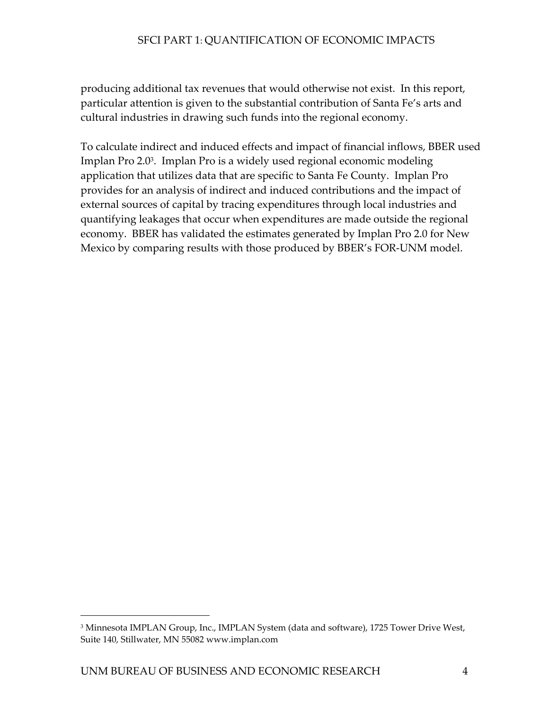producing additional tax revenues that would otherwise not exist. In this report, particular attention is given to the substantial contribution of Santa Fe's arts and cultural industries in drawing such funds into the regional economy.

To calculate indirect and induced effects and impact of financial inflows, BBER used Implan Pro 2.0[3.](#page-10-0) Implan Pro is a widely used regional economic modeling application that utilizes data that are specific to Santa Fe County. Implan Pro provides for an analysis of indirect and induced contributions and the impact of external sources of capital by tracing expenditures through local industries and quantifying leakages that occur when expenditures are made outside the regional economy. BBER has validated the estimates generated by Implan Pro 2.0 for New Mexico by comparing results with those produced by BBER's FOR-UNM model.

 $\overline{a}$ 

<span id="page-10-0"></span><sup>&</sup>lt;sup>3</sup> Minnesota IMPLAN Group, Inc., IMPLAN System (data and software), 1725 Tower Drive West, Suite 140, Stillwater, MN 55082 www.implan.com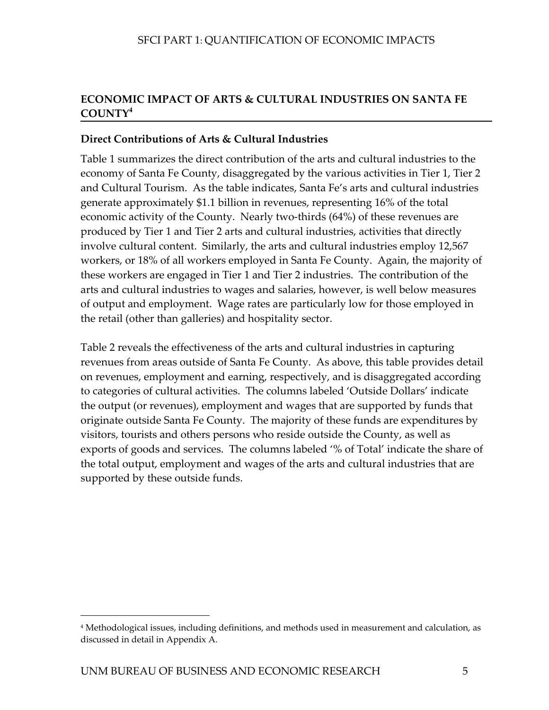# <span id="page-11-0"></span>**ECONOMIC IMPACT OF ARTS & CULTURAL INDUSTRIES ON SANTA FE COUNTY<sup>4</sup>**

# **Direct Contributions of Arts & Cultural Industries**

Table 1 summarizes the direct contribution of the arts and cultural industries to the economy of Santa Fe County, disaggregated by the various activities in Tier 1, Tier 2 and Cultural Tourism. As the table indicates, Santa Fe's arts and cultural industries generate approximately \$1.1 billion in revenues, representing 16% of the total economic activity of the County. Nearly two-thirds (64%) of these revenues are produced by Tier 1 and Tier 2 arts and cultural industries, activities that directly involve cultural content. Similarly, the arts and cultural industries employ 12,567 workers, or 18% of all workers employed in Santa Fe County. Again, the majority of these workers are engaged in Tier 1 and Tier 2 industries. The contribution of the arts and cultural industries to wages and salaries, however, is well below measures of output and employment. Wage rates are particularly low for those employed in the retail (other than galleries) and hospitality sector.

Table 2 reveals the effectiveness of the arts and cultural industries in capturing revenues from areas outside of Santa Fe County. As above, this table provides detail on revenues, employment and earning, respectively, and is disaggregated according to categories of cultural activities. The columns labeled 'Outside Dollars' indicate the output (or revenues), employment and wages that are supported by funds that originate outside Santa Fe County. The majority of these funds are expenditures by visitors, tourists and others persons who reside outside the County, as well as exports of goods and services. The columns labeled '% of Total' indicate the share of the total output, employment and wages of the arts and cultural industries that are supported by these outside funds.

-

<sup>4</sup> Methodological issues, including definitions, and methods used in measurement and calculation, as discussed in detail in Appendix A.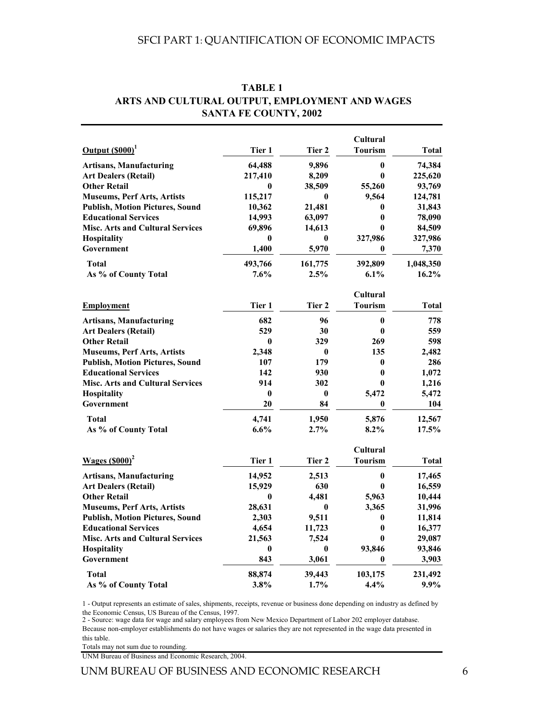|                                         |              |          | Cultural        |           |
|-----------------------------------------|--------------|----------|-----------------|-----------|
| Output (\$000) <sup>1</sup>             | Tier 1       | Tier 2   | <b>Tourism</b>  | Total     |
| <b>Artisans, Manufacturing</b>          | 64,488       | 9,896    | $\bf{0}$        | 74,384    |
| <b>Art Dealers (Retail)</b>             | 217,410      | 8,209    | $\bf{0}$        | 225,620   |
| <b>Other Retail</b>                     | 0            | 38,509   | 55,260          | 93,769    |
| <b>Museums, Perf Arts, Artists</b>      | 115,217      | 0        | 9,564           | 124,781   |
| <b>Publish, Motion Pictures, Sound</b>  | 10,362       | 21,481   | 0               | 31,843    |
| <b>Educational Services</b>             | 14,993       | 63,097   | $\bf{0}$        | 78,090    |
| <b>Misc. Arts and Cultural Services</b> | 69,896       | 14,613   | $\bf{0}$        | 84,509    |
| <b>Hospitality</b>                      | 0            | 0        | 327,986         | 327,986   |
| Government                              | 1,400        | 5,970    | $\bf{0}$        | 7,370     |
| <b>Total</b>                            | 493,766      | 161,775  | 392,809         | 1,048,350 |
| As % of County Total                    | 7.6%         | 2.5%     | 6.1%            | $16.2\%$  |
|                                         |              |          | Cultural        |           |
| <b>Employment</b>                       | Tier 1       | Tier 2   | <b>Tourism</b>  | Total     |
| <b>Artisans, Manufacturing</b>          | 682          | 96       | $\bf{0}$        | 778       |
| <b>Art Dealers (Retail)</b>             | 529          | 30       | $\bf{0}$        | 559       |
| <b>Other Retail</b>                     | $\mathbf{0}$ | 329      | 269             | 598       |
| <b>Museums, Perf Arts, Artists</b>      | 2,348        | $\bf{0}$ | 135             | 2,482     |
| <b>Publish, Motion Pictures, Sound</b>  | 107          | 179      | 0               | 286       |
| <b>Educational Services</b>             | 142          | 930      | $\bf{0}$        | 1,072     |
| <b>Misc. Arts and Cultural Services</b> | 914          | 302      | $\bf{0}$        | 1,216     |
| <b>Hospitality</b>                      | $\bf{0}$     | 0        | 5,472           | 5,472     |
| Government                              | 20           | 84       | $\bf{0}$        | 104       |
| <b>Total</b>                            | 4,741        | 1,950    | 5,876           | 12,567    |
| As % of County Total                    | 6.6%         | 2.7%     | 8.2%            | 17.5%     |
|                                         |              |          | <b>Cultural</b> |           |
| Wages $(S000)^2$                        | Tier 1       | Tier 2   | <b>Tourism</b>  | Total     |
| <b>Artisans, Manufacturing</b>          | 14,952       | 2,513    | $\bf{0}$        | 17,465    |
| <b>Art Dealers (Retail)</b>             | 15,929       | 630      | $\bf{0}$        | 16,559    |
| <b>Other Retail</b>                     | $\bf{0}$     | 4,481    | 5,963           | 10,444    |
| <b>Museums, Perf Arts, Artists</b>      | 28,631       | $\bf{0}$ | 3,365           | 31,996    |
| <b>Publish, Motion Pictures, Sound</b>  | 2,303        | 9,511    | 0               | 11,814    |
| <b>Educational Services</b>             | 4,654        | 11,723   | $\bf{0}$        | 16,377    |
| <b>Misc. Arts and Cultural Services</b> | 21,563       | 7,524    | $\bf{0}$        | 29,087    |
| <b>Hospitality</b>                      | 0            | 0        | 93,846          | 93,846    |
| Government                              | 843          | 3,061    | $\bf{0}$        | 3,903     |
| <b>Total</b>                            | 88,874       | 39,443   | 103,175         | 231,492   |
| As % of County Total                    | 3.8%         | 1.7%     | 4.4%            | 9.9%      |

#### **TABLE 1 ARTS AND CULTURAL OUTPUT, EMPLOYMENT AND WAGES SANTA FE COUNTY, 2002**

1 - Output represents an estimate of sales, shipments, receipts, revenue or business done depending on industry as defined by the Economic Census, US Bureau of the Census, 1997.

2 - Source: wage data for wage and salary employees from New Mexico Department of Labor 202 employer database. Because non-employer establishments do not have wages or salaries they are not represented in the wage data presented in this table.

T otals may not sum due to rounding.

UNM B ureau of Business and Economic Research, 2004.

UNM BUREAU OF BUSINESS AND ECONOMIC RESEARCH 6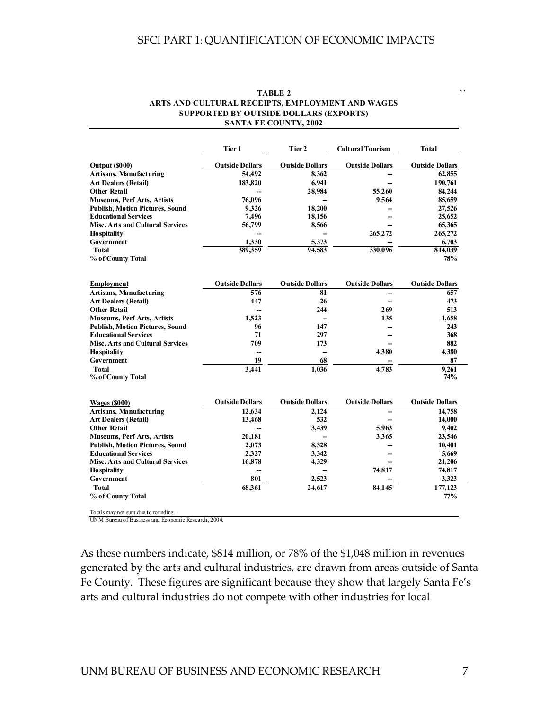|                                         | Tier 1                 | Tier 2                   | <b>Cultural Tourism</b> | Total                  |
|-----------------------------------------|------------------------|--------------------------|-------------------------|------------------------|
| Output (\$000)                          | <b>Outside Dollars</b> | <b>Outside Dollars</b>   | <b>Outside Dollars</b>  | <b>Outside Dollars</b> |
| <b>Artisans, Manufacturing</b>          | 54,492                 | 8,362                    |                         | 62,855                 |
| <b>Art Dealers (Retail)</b>             | 183,820                | 6,941                    |                         | 190,761                |
| <b>Other Retail</b>                     |                        | 28,984                   | 55.260                  | 84,244                 |
| <b>Museums, Perf Arts, Artists</b>      | 76,096                 |                          | 9,564                   | 85,659                 |
| <b>Publish, Motion Pictures, Sound</b>  | 9.326                  | 18.200                   |                         | 27,526                 |
| <b>Educational Services</b>             | 7,496                  | 18,156                   |                         | 25,652                 |
| <b>Misc. Arts and Cultural Services</b> | 56,799                 | 8,566                    |                         | 65,365                 |
| <b>Hospitality</b>                      |                        |                          | 265,272                 | 265,272                |
| Government                              | 1.330                  | 5.373                    |                         | 6.703                  |
| <b>Total</b>                            | 389.359                | 94.583                   | 330.096                 | 814,039                |
| % of County Total                       |                        |                          |                         | 78%                    |
| <b>Employment</b>                       | <b>Outside Dollars</b> | <b>Outside Dollars</b>   | <b>Outside Dollars</b>  | <b>Outside Dollars</b> |
| Artisans, Manufacturing                 | 576                    | 81                       |                         | 657                    |
| <b>Art Dealers (Retail)</b>             | 447                    | 26                       |                         | 473                    |
| <b>Other Retail</b>                     |                        | 244                      | 269                     | 513                    |
| Museums, Perf Arts, Artists             | 1.523                  | $\sim$                   | 135                     | 1,658                  |
| <b>Publish, Motion Pictures, Sound</b>  | 96                     | 147                      |                         | 243                    |
| <b>Educational Services</b>             | 71                     | 297                      | --                      | 368                    |
| <b>Misc. Arts and Cultural Services</b> | 709                    | 173                      |                         | 882                    |
| <b>Hospitality</b>                      |                        | $\overline{\phantom{0}}$ | 4,380                   | 4,380                  |
| Government                              | 19                     | 68                       |                         | 87                     |
| <b>Total</b>                            | 3.441                  | 1.036                    | 4.783                   | 9.261                  |
| % of County Total                       |                        |                          |                         | 74%                    |
| <b>Wages (\$000)</b>                    | <b>Outside Dollars</b> | <b>Outside Dollars</b>   | <b>Outside Dollars</b>  | <b>Outside Dollars</b> |
| <b>Artisans, Manufacturing</b>          | 12,634                 | 2.124                    |                         | 14,758                 |
| <b>Art Dealers (Retail)</b>             | 13,468                 | 532                      |                         | 14,000                 |
| <b>Other Retail</b>                     | $\overline{a}$         | 3,439                    | 5.963                   | 9,402                  |
| Museums, Perf Arts, Artists             | 20,181                 |                          | 3,365                   | 23,546                 |
| <b>Publish, Motion Pictures, Sound</b>  | 2,073                  | 8,328                    |                         | 10,401                 |
| <b>Educational Services</b>             | 2.327                  | 3.342                    |                         | 5.669                  |
| <b>Misc. Arts and Cultural Services</b> | 16,878                 | 4,329                    |                         | 21,206                 |
| <b>Hospitality</b>                      |                        |                          | 74.817                  | 74,817                 |
| <b>Government</b>                       | 801                    | 2.523                    |                         | 3.323                  |
| <b>Total</b>                            | 68,361                 | 24,617                   | 84,145                  | 177,123                |
| % of County Total                       |                        |                          |                         | 77%                    |

#### **TABLE 2 ARTS AND CULTURAL RECEIPTS, EMPLOYMENT AND WAGES SUPPORTED BY OUTSIDE DOLLARS (EXPORTS) SANTA FE COUNTY, 2002**

Totals may not sum due to rounding. UNM Bureau of Business and Economic Research, 2004.

As these numbers indicate, \$814 million, or 78% of the \$1,048 million in revenues generated by the arts and cultural industries, are drawn from areas outside of Santa Fe County. These figures are significant because they show that largely Santa Fe's arts and cultural industries do not compete with other industries for local

**``**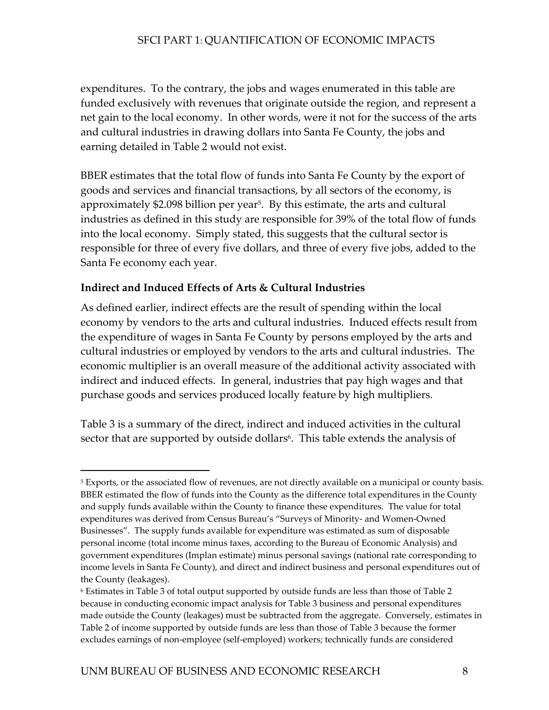<span id="page-14-1"></span>expenditures. To the contrary, the jobs and wages enumerated in this table are funded exclusively with revenues that originate outside the region, and represent a net gain to the local economy. In other words, were it not for the success of the arts and cultural industries in drawing dollars into Santa Fe County, the jobs and earning detailed in Table 2 would not exist.

BBER estimates that the total flow of funds into Santa Fe County by the export of goods and services and financial transactions, by all sectors of the economy, is approximately \$2.098 billion per year<sup>5</sup>. By this estimate, the arts and cultural industries as defined in this study are responsible for 39% of the total flow of funds into the local economy. Simply stated, this suggests that the cultural sector is responsible for three of every five dollars, and three of every five jobs, added to the Santa Fe economy each year.

#### **Indirect and Induced Effects of Arts & Cultural Industries**

 $\overline{a}$ 

As defined earlier, indirect effects are the result of spending within the local economy by vendors to the arts and cultural industries. Induced effects result from the expenditure of wages in Santa Fe County by persons employed by the arts and cultural industries or employed by vendors to the arts and cultural industries. The economic multiplier is an overall measure of the additional activity associated with indirect and induced effects. In general, industries that pay high wages and that purchase goods and services produced locally feature by high multipliers.

Table 3 is a summary of the direct, indirect and induced activities in the cultural sector that are supported by outside dollars<sup>6</sup>. This table extends the analysis of

<span id="page-14-0"></span><sup>&</sup>lt;sup>5</sup> Exports, or the associated flow of revenues, are not directly available on a municipal or county basis. BBER estimated the flow of funds into the County as the difference total expenditures in the County and supply funds available within the County to finance these expenditures. The value for total expenditures was derived from Census Bureau's "Surveys of Minority- and Women-Owned Businesses". The supply funds available for expenditure was estimated as sum of disposable personal income (total income minus taxes, according to the Bureau of Economic Analysis) and government expenditures (Implan estimate) minus personal savings (national rate corresponding to income levels in Santa Fe County), and direct and indirect business and personal expenditures out of the County (leakages).

<sup>6</sup> Estimates in Table 3 of total output supported by outside funds are less than those of Table 2 because in conducting economic impact analysis for Table 3 business and personal expenditures made outside the County (leakages) must be subtracted from the aggregate. Conversely, estimates in Table 2 of income supported by outside funds are less than those of Table 3 because the former excludes earnings of non-employee (self-employed) workers; technically funds are considered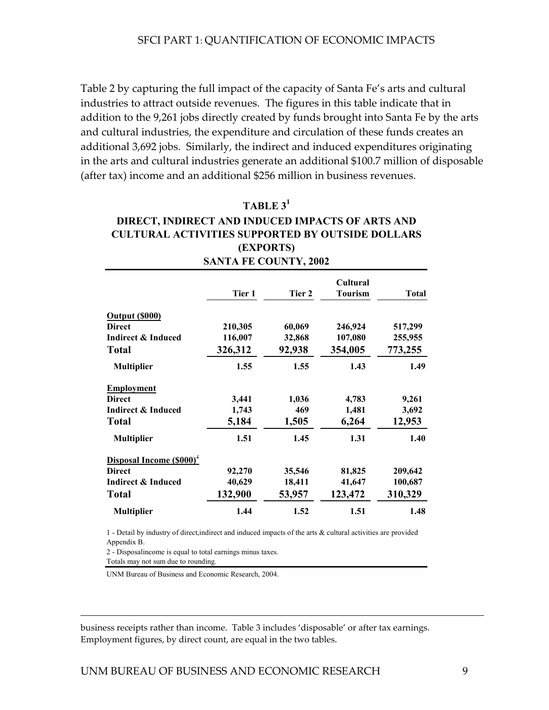Table 2 by capturing the full impact of the capacity of Santa Fe's arts and cultural industries to attract outside revenues. The figures in this table indicate that in addition to the 9,261 jobs directly created by funds brought into Santa Fe by the arts and cultural industries, the expenditure and circulation of these funds creates an additional 3,692 jobs. Similarly, the indirect and induced expenditures originating in the arts and cultural industries generate an additional \$100.7 million of disposable (after tax) income and an additional \$256 million in business revenues.

# **TABLE 3<sup>1</sup>**

### **SANTA FE COUNTY, 2002 DIRECT, INDIRECT AND INDUCED IMPACTS OF ARTS AND CULTURAL ACTIVITIES SUPPORTED BY OUTSIDE DOLLARS (EXPORTS)**

|                                      | Tier 1  | Tier 2 | Cultural<br><b>Tourism</b> | Total   |
|--------------------------------------|---------|--------|----------------------------|---------|
| Output (\$000)                       |         |        |                            |         |
| <b>Direct</b>                        | 210,305 | 60,069 | 246,924                    | 517,299 |
| <b>Indirect &amp; Induced</b>        | 116,007 | 32,868 | 107,080                    | 255,955 |
| <b>Total</b>                         | 326,312 | 92,938 | 354,005                    | 773,255 |
| <b>Multiplier</b>                    | 1.55    | 1.55   | 1.43                       | 1.49    |
| <b>Employment</b>                    |         |        |                            |         |
| <b>Direct</b>                        | 3,441   | 1,036  | 4,783                      | 9,261   |
| Indirect & Induced                   | 1,743   | 469    | 1,481                      | 3,692   |
| <b>Total</b>                         | 5,184   | 1,505  | 6,264                      | 12,953  |
| <b>Multiplier</b>                    | 1.51    | 1.45   | 1.31                       | 1.40    |
| Disposal Income (\$000) <sup>2</sup> |         |        |                            |         |
| <b>Direct</b>                        | 92,270  | 35,546 | 81,825                     | 209,642 |
| Indirect & Induced                   | 40,629  | 18,411 | 41,647                     | 100,687 |
| <b>Total</b>                         | 132,900 | 53,957 | 123,472                    | 310,329 |
| <b>Multiplier</b>                    | 1.44    | 1.52   | 1.51                       | 1.48    |

1 - Detail by industry of direct,indirect and induced impacts of the arts & cultural activities are provided Appendix B.

2 - Disposalincome is equal to total earnings minus taxes.

Totals may not sum due to rounding.

-

UNM Bureau of Business and Economic Research, 2004.

business receipts rather than income. Table 3 includes 'disposable' or after tax earnings. Employment figures, by direct count, are equal in the two tables.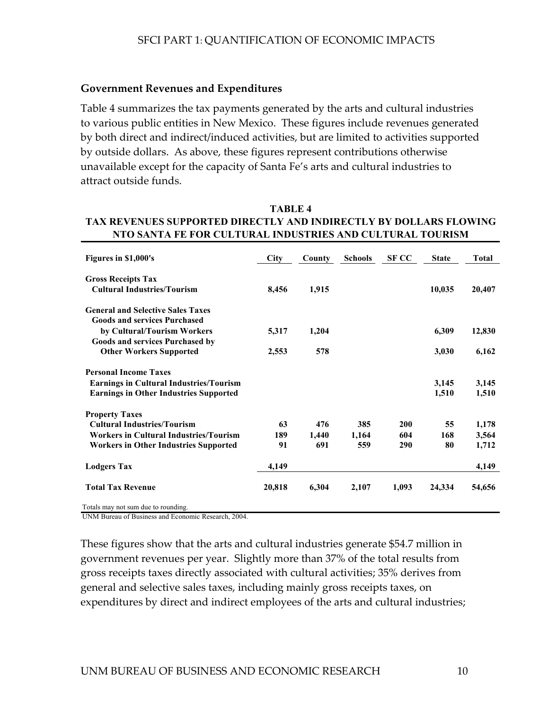#### **Government Revenues and Expenditures**

Table 4 summarizes the tax payments generated by the arts and cultural industries to various public entities in New Mexico. These figures include revenues generated by both direct and indirect/induced activities, but are limited to activities supported by outside dollars. As above, these figures represent contributions otherwise unavailable except for the capacity of Santa Fe's arts and cultural industries to attract outside funds.

#### **TAX REVENUES SUPPORTED DIRECTLY AND INDIRECTLY BY DOLLARS FLOWING NTO SANTA FE FOR CULTURAL INDUSTRIES AND CULTURAL TOURISM TABLE 4**

| Figures in \$1,000's                                                                                  | <b>City</b> | County | <b>Schools</b> | <b>SF CC</b> | <b>State</b> | <b>Total</b> |
|-------------------------------------------------------------------------------------------------------|-------------|--------|----------------|--------------|--------------|--------------|
| <b>Gross Receipts Tax</b><br><b>Cultural Industries/Tourism</b>                                       | 8,456       | 1,915  |                |              | 10,035       | 20,407       |
| <b>General and Selective Sales Taxes</b>                                                              |             |        |                |              |              |              |
| <b>Goods and services Purchased</b><br>by Cultural/Tourism Workers<br>Goods and services Purchased by | 5,317       | 1,204  |                |              | 6,309        | 12,830       |
| <b>Other Workers Supported</b>                                                                        | 2,553       | 578    |                |              | 3,030        | 6,162        |
| <b>Personal Income Taxes</b>                                                                          |             |        |                |              |              |              |
| <b>Earnings in Cultural Industries/Tourism</b>                                                        |             |        |                |              | 3,145        | 3,145        |
| <b>Earnings in Other Industries Supported</b>                                                         |             |        |                |              | 1,510        | 1,510        |
| <b>Property Taxes</b>                                                                                 |             |        |                |              |              |              |
| <b>Cultural Industries/Tourism</b>                                                                    | 63          | 476    | 385            | 200          | 55           | 1,178        |
| <b>Workers in Cultural Industries/Tourism</b>                                                         | 189         | 1,440  | 1,164          | 604          | 168          | 3,564        |
| Workers in Other Industries Supported                                                                 | 91          | 691    | 559            | 290          | 80           | 1,712        |
| <b>Lodgers Tax</b>                                                                                    | 4,149       |        |                |              |              | 4,149        |
| <b>Total Tax Revenue</b>                                                                              | 20,818      | 6,304  | 2,107          | 1,093        | 24,334       | 54,656       |

UNM Bureau of Business and Economic Research, 2004. Totals may not sum due to rounding.

These figures show that the arts and cultural industries generate \$54.7 million in government revenues per year. Slightly more than 37% of the total results from gross receipts taxes directly associated with cultural activities; 35% derives from general and selective sales taxes, including mainly gross receipts taxes, on expenditures by direct and indirect employees of the arts and cultural industries;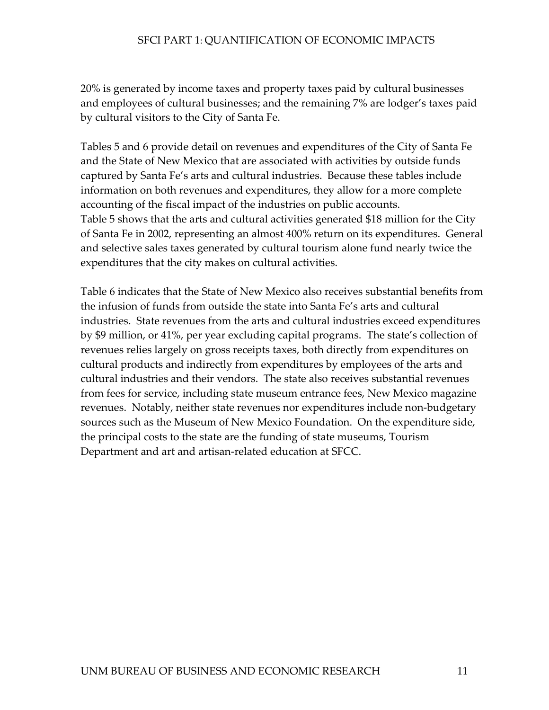20% is generated by income taxes and property taxes paid by cultural businesses and employees of cultural businesses; and the remaining 7% are lodger's taxes paid by cultural visitors to the City of Santa Fe.

Tables 5 and 6 provide detail on revenues and expenditures of the City of Santa Fe and the State of New Mexico that are associated with activities by outside funds captured by Santa Fe's arts and cultural industries. Because these tables include information on both revenues and expenditures, they allow for a more complete accounting of the fiscal impact of the industries on public accounts. Table 5 shows that the arts and cultural activities generated \$18 million for the City of Santa Fe in 2002, representing an almost 400% return on its expenditures. General and selective sales taxes generated by cultural tourism alone fund nearly twice the expenditures that the city makes on cultural activities.

Table 6 indicates that the State of New Mexico also receives substantial benefits from the infusion of funds from outside the state into Santa Fe's arts and cultural industries. State revenues from the arts and cultural industries exceed expenditures by \$9 million, or 41%, per year excluding capital programs. The state's collection of revenues relies largely on gross receipts taxes, both directly from expenditures on cultural products and indirectly from expenditures by employees of the arts and cultural industries and their vendors. The state also receives substantial revenues from fees for service, including state museum entrance fees, New Mexico magazine revenues. Notably, neither state revenues nor expenditures include non-budgetary sources such as the Museum of New Mexico Foundation. On the expenditure side, the principal costs to the state are the funding of state museums, Tourism Department and art and artisan-related education at SFCC.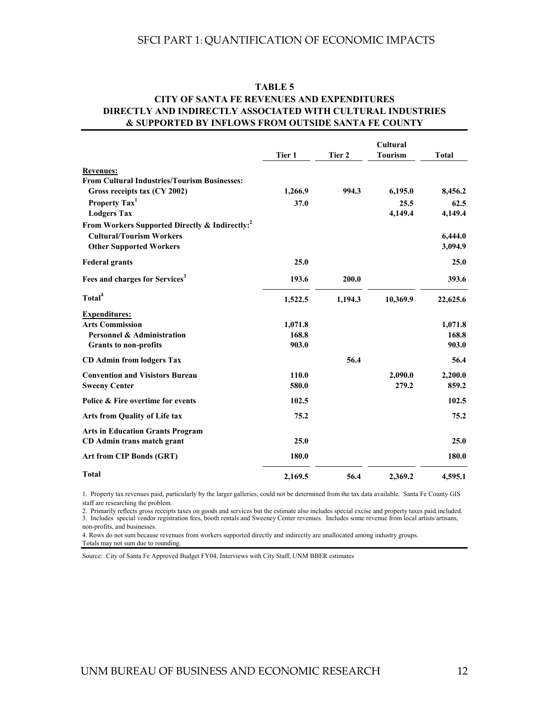#### **TABLE 5 CITY OF SANTA FE REVENUES AND EXPENDITURES DIRECTLY AND INDIRECTLY ASSOCIATED WITH CULTURAL INDUSTRIES & SUPPORTED BY INFLOWS FROM OUTSIDE SANTA FE COUNTY**

|                                                            |         |         | Cultural       |              |  |
|------------------------------------------------------------|---------|---------|----------------|--------------|--|
|                                                            | Tier 1  | Tier 2  | <b>Tourism</b> | <b>Total</b> |  |
| <b>Revenues:</b>                                           |         |         |                |              |  |
| <b>From Cultural Industries/Tourism Businesses:</b>        |         |         |                |              |  |
| Gross receipts tax (CY 2002)                               | 1,266.9 | 994.3   | 6,195.0        | 8,456.2      |  |
| Property Tax <sup>1</sup>                                  | 37.0    |         | 25.5           | 62.5         |  |
| <b>Lodgers Tax</b>                                         |         |         | 4,149.4        | 4,149.4      |  |
| From Workers Supported Directly & Indirectly: <sup>2</sup> |         |         |                |              |  |
| <b>Cultural/Tourism Workers</b>                            |         |         |                | 6,444.0      |  |
| <b>Other Supported Workers</b>                             |         |         |                | 3,094.9      |  |
| <b>Federal grants</b>                                      | 25.0    |         |                | 25.0         |  |
| Fees and charges for Services <sup>3</sup>                 | 193.6   | 200.0   |                | 393.6        |  |
| Total <sup>4</sup>                                         | 1,522.5 | 1,194.3 | 10,369.9       | 22,625.6     |  |
| <b>Expenditures:</b>                                       |         |         |                |              |  |
| <b>Arts Commission</b>                                     | 1,071.8 |         |                | 1,071.8      |  |
| <b>Personnel &amp; Administration</b>                      | 168.8   |         |                | 168.8        |  |
| <b>Grants to non-profits</b>                               | 903.0   |         |                | 903.0        |  |
| <b>CD</b> Admin from lodgers Tax                           |         | 56.4    |                | 56.4         |  |
| <b>Convention and Visistors Bureau</b>                     | 110.0   |         | 2,090.0        | 2,200.0      |  |
| <b>Sweeny Center</b>                                       | 580.0   |         | 279.2          | 859.2        |  |
| Police & Fire overtime for events                          | 102.5   |         |                | 102.5        |  |
| <b>Arts from Quality of Life tax</b>                       | 75.2    |         |                | 75.2         |  |
| <b>Arts in Education Grants Program</b>                    |         |         |                |              |  |
| CD Admin trans match grant                                 | 25.0    |         |                | 25.0         |  |
| <b>Art from CIP Bonds (GRT)</b>                            | 180.0   |         |                | 180.0        |  |
| <b>Total</b>                                               | 2,169.5 | 56.4    | 2,369.2        | 4,595.1      |  |

1. Property tax revenues paid, particularly by the larger galleries, could not be determined from the tax data available. Santa Fe County GIS staff are researching the problem.

2. Primarily reflects gross receipts taxes on goods and services but the estimate also includes special excise and property taxes paid included.<br>3. Includes special vendor registration fees, booth rentals and Sweeney Cente non-profits, and businesses.

4. Rows do not sum because revenues from workers supported directly and indirectly are unallocated among industry groups. Totals may not sum due to rounding.

Source: City of Santa Fe Approved Budget FY04, Interviews with City Staff, UNM BBER estimates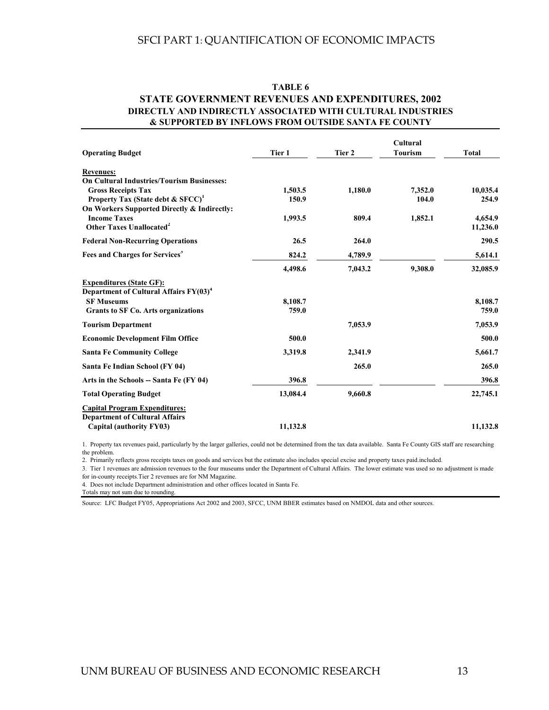#### **TABLE 6**

#### **STATE GOVERNMENT REVENUES AND EXPENDITURES, 2002 DIRECTLY AND INDIRECTLY ASSOCIATED WITH CULTURAL INDUSTRIES & SUPPORTED BY INFLOWS FROM OUTSIDE SANTA FE COUNTY**

| <b>Operating Budget</b>                                                               | Tier 1           | Tier 2  | Cultural<br><b>Tourism</b> | <b>Total</b>      |
|---------------------------------------------------------------------------------------|------------------|---------|----------------------------|-------------------|
| <b>Revenues:</b>                                                                      |                  |         |                            |                   |
| <b>On Cultural Industries/Tourism Businesses:</b>                                     |                  |         |                            |                   |
| <b>Gross Receipts Tax</b><br>Property Tax (State debt & SFCC) <sup>1</sup>            | 1,503.5<br>150.9 | 1,180.0 | 7,352.0<br>104.0           | 10,035.4<br>254.9 |
| On Workers Supported Directly & Indirectly:                                           |                  |         |                            |                   |
| <b>Income Taxes</b>                                                                   | 1,993.5          | 809.4   | 1,852.1                    | 4,654.9           |
| Other Taxes Unallocated <sup>2</sup>                                                  |                  |         |                            | 11,236.0          |
| <b>Federal Non-Recurring Operations</b>                                               | 26.5             | 264.0   |                            | 290.5             |
| Fees and Charges for Services                                                         | 824.2            | 4,789.9 |                            | 5,614.1           |
|                                                                                       | 4,498.6          | 7,043.2 | 9,308.0                    | 32,085.9          |
| <b>Expenditures (State GF):</b><br>Department of Cultural Affairs FY(03) <sup>4</sup> |                  |         |                            |                   |
| <b>SF Museums</b>                                                                     | 8,108.7          |         |                            | 8,108.7           |
| <b>Grants to SF Co. Arts organizations</b>                                            | 759.0            |         |                            | 759.0             |
| <b>Tourism Department</b>                                                             |                  | 7,053.9 |                            | 7,053.9           |
| <b>Economic Development Film Office</b>                                               | 500.0            |         |                            | 500.0             |
| <b>Santa Fe Community College</b>                                                     | 3,319.8          | 2,341.9 |                            | 5,661.7           |
| Santa Fe Indian School (FY 04)                                                        |                  | 265.0   |                            | 265.0             |
| Arts in the Schools -- Santa Fe (FY 04)                                               | 396.8            |         |                            | 396.8             |
| <b>Total Operating Budget</b>                                                         | 13,084.4         | 9,660.8 |                            | 22,745.1          |
| <b>Capital Program Expenditures:</b><br><b>Department of Cultural Affairs</b>         |                  |         |                            |                   |
| Capital (authority FY03)                                                              | 11,132.8         |         |                            | 11,132.8          |

1. Property tax revenues paid, particularly by the larger galleries, could not be determined from the tax data available. Santa Fe County GIS staff are researching the problem.

2. Primarily reflects gross receipts taxes on goods and services but the estimate also includes special excise and property taxes paid.included.

3. Tier 1 revenues are admission revenues to the four museums under the Department of Cultural Affairs. The lower estimate was used so no adjustment is made for in-county receipts.Tier 2 revenues are for NM Magazine.

4. Does not include Department administration and other offices located in Santa Fe.

Totals may not sum due to rounding.

Source: LFC Budget FY05, Appropriations Act 2002 and 2003, SFCC, UNM BBER estimates based on NMDOL data and other sources.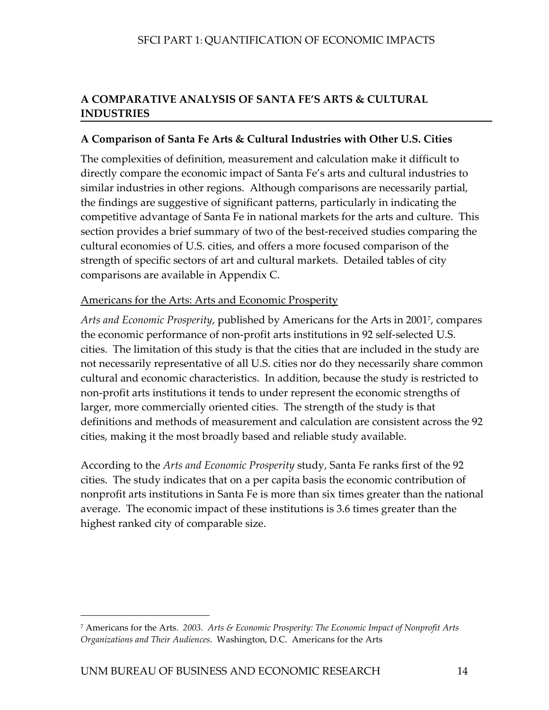# <span id="page-20-0"></span>**A COMPARATIVE ANALYSIS OF SANTA FE'S ARTS & CULTURAL INDUSTRIES**

# **A Comparison of Santa Fe Arts & Cultural Industries with Other U.S. Cities**

The complexities of definition, measurement and calculation make it difficult to directly compare the economic impact of Santa Fe's arts and cultural industries to similar industries in other regions. Although comparisons are necessarily partial, the findings are suggestive of significant patterns, particularly in indicating the competitive advantage of Santa Fe in national markets for the arts and culture. This section provides a brief summary of two of the best-received studies comparing the cultural economies of U.S. cities, and offers a more focused comparison of the strength of specific sectors of art and cultural markets. Detailed tables of city comparisons are available in Appendix C.

# Americans for the Arts: Arts and Economic Prosperity

*Arts and Economic Prosperity*, published by Americans for the Arts in 200[17,](#page-20-1) compares the economic performance of non-profit arts institutions in 92 self-selected U.S. cities. The limitation of this study is that the cities that are included in the study are not necessarily representative of all U.S. cities nor do they necessarily share common cultural and economic characteristics. In addition, because the study is restricted to non-profit arts institutions it tends to under represent the economic strengths of larger, more commercially oriented cities. The strength of the study is that definitions and methods of measurement and calculation are consistent across the 92 cities, making it the most broadly based and reliable study available.

According to the *Arts and Economic Prosperity* study, Santa Fe ranks first of the 92 cities. The study indicates that on a per capita basis the economic contribution of nonprofit arts institutions in Santa Fe is more than six times greater than the national average. The economic impact of these institutions is 3.6 times greater than the highest ranked city of comparable size.

 $\overline{a}$ 

<span id="page-20-1"></span><sup>7</sup> Americans for the Arts. *2003. Arts & Economic Prosperity: The Economic Impact of Nonprofit Arts Organizations and Their Audiences*. Washington, D.C. Americans for the Arts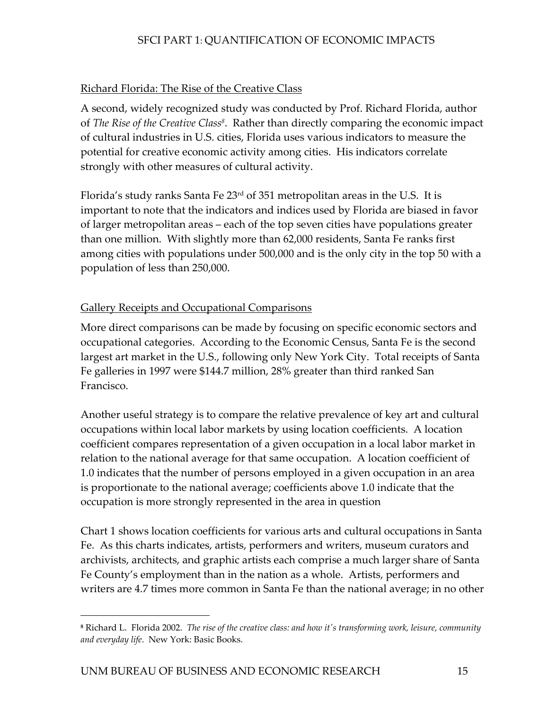# Richard Florida: The Rise of the Creative Class

A second, widely recognized study was conducted by Prof. Richard Florida, author of *The Rise of the Creative Clas[s8](#page-21-0)*. Rather than directly comparing the economic impact of cultural industries in U.S. cities, Florida uses various indicators to measure the potential for creative economic activity among cities. His indicators correlate strongly with other measures of cultural activity.

Florida's study ranks Santa Fe 23rd of 351 metropolitan areas in the U.S. It is important to note that the indicators and indices used by Florida are biased in favor of larger metropolitan areas – each of the top seven cities have populations greater than one million. With slightly more than 62,000 residents, Santa Fe ranks first among cities with populations under 500,000 and is the only city in the top 50 with a population of less than 250,000.

# Gallery Receipts and Occupational Comparisons

More direct comparisons can be made by focusing on specific economic sectors and occupational categories. According to the Economic Census, Santa Fe is the second largest art market in the U.S., following only New York City. Total receipts of Santa Fe galleries in 1997 were \$144.7 million, 28% greater than third ranked San Francisco.

Another useful strategy is to compare the relative prevalence of key art and cultural occupations within local labor markets by using location coefficients. A location coefficient compares representation of a given occupation in a local labor market in relation to the national average for that same occupation. A location coefficient of 1.0 indicates that the number of persons employed in a given occupation in an area is proportionate to the national average; coefficients above 1.0 indicate that the occupation is more strongly represented in the area in question

Chart 1 shows location coefficients for various arts and cultural occupations in Santa Fe. As this charts indicates, artists, performers and writers, museum curators and archivists, architects, and graphic artists each comprise a much larger share of Santa Fe County's employment than in the nation as a whole. Artists, performers and writers are 4.7 times more common in Santa Fe than the national average; in no other

-

<span id="page-21-0"></span>**<sup>8</sup>** Richard L. Florida 2002. *The rise of the creative class: and how it's transforming work, leisure, community and everyday life*. New York: Basic Books.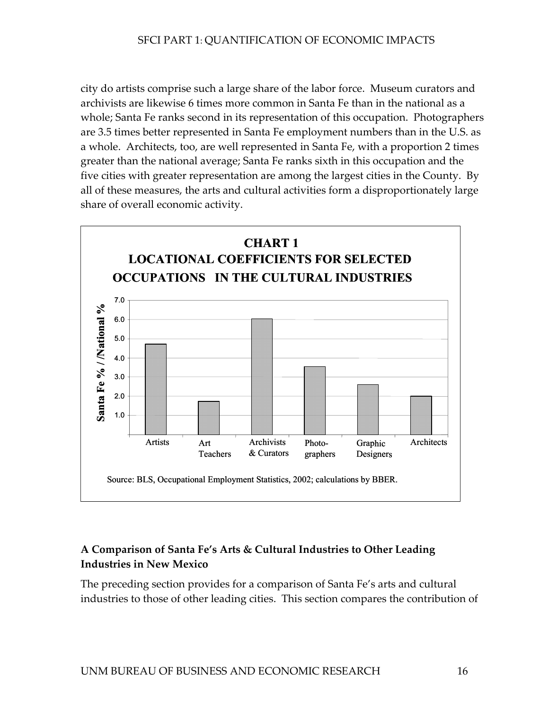city do artists comprise such a large share of the labor force. Museum curators and archivists are likewise 6 times more common in Santa Fe than in the national as a whole; Santa Fe ranks second in its representation of this occupation. Photographers are 3.5 times better represented in Santa Fe employment numbers than in the U.S. as a whole. Architects, too, are well represented in Santa Fe, with a proportion 2 times greater than the national average; Santa Fe ranks sixth in this occupation and the five cities with greater representation are among the largest cities in the County. By all of these measures, the arts and cultural activities form a disproportionately large share of overall economic activity.



# **A Comparison of Santa Fe's Arts & Cultural Industries to Other Leading Industries in New Mexico**

The preceding section provides for a comparison of Santa Fe's arts and cultural industries to those of other leading cities. This section compares the contribution of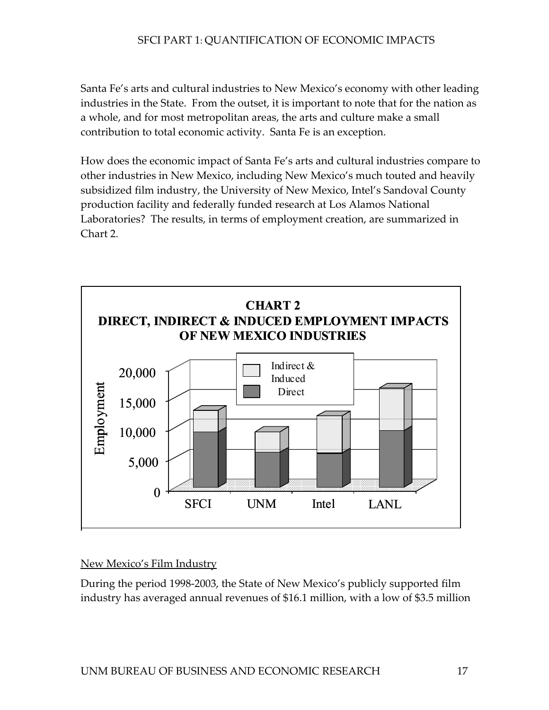Santa Fe's arts and cultural industries to New Mexico's economy with other leading industries in the State. From the outset, it is important to note that for the nation as a whole, and for most metropolitan areas, the arts and culture make a small contribution to total economic activity. Santa Fe is an exception.

How does the economic impact of Santa Fe's arts and cultural industries compare to Laboratories? The results, in terms of employment creation, are summarized in other industries in New Mexico, including New Mexico's much touted and heavily subsidized film industry, the University of New Mexico, Intel's Sandoval County production facility and federally funded research at Los Alamos National Chart 2.



#### New Mexico's Film Industry

During the period 1998-2003, the State of New Mexico's publicly supported film industry has averaged annual revenues of \$16.1 million, with a low of \$3.5 million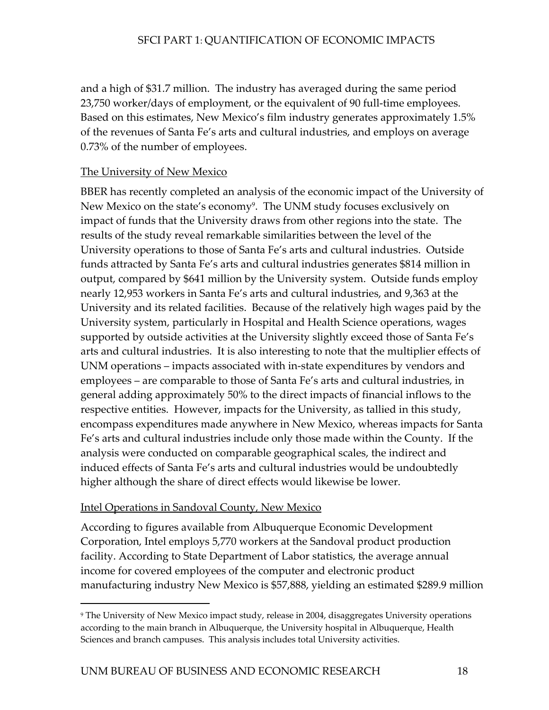and a high of \$31.7 million. The industry has averaged during the same period 23,750 worker/days of employment, or the equivalent of 90 full-time employees. Based on this estimates, New Mexico's film industry generates approximately 1.5% of the revenues of Santa Fe's arts and cultural industries, and employs on average 0.73% of the number of employees.

#### The University of New Mexico

BBER has recently completed an analysis of the economic impact of the University of impact of funds that the University draws from other regions into the state. The University operations to those of Santa Fe's arts and cultural industries. Outside University and its related facilities. Because of the relatively high wages paid by the encompass expenditures made anywhere in New Mexico, whereas impacts for Santa induced effects of Santa Fe's arts and cultural industries would be undoubtedly New Mexico on the state's economy<sup>9</sup>. The UNM study focuses exclusively on results of the study reveal remarkable similarities between the level of the funds attracted by Santa Fe's arts and cultural industries generates \$814 million in output, compared by \$641 million by the University system. Outside funds employ nearly 12,953 workers in Santa Fe's arts and cultural industries, and 9,363 at the University system, particularly in Hospital and Health Science operations, wages supported by outside activities at the University slightly exceed those of Santa Fe's arts and cultural industries. It is also interesting to note that the multiplier effects of UNM operations – impacts associated with in-state expenditures by vendors and employees – are comparable to those of Santa Fe's arts and cultural industries, in general adding approximately 50% to the direct impacts of financial inflows to the respective entities. However, impacts for the University, as tallied in this study, Fe's arts and cultural industries include only those made within the County. If the analysis were conducted on comparable geographical scales, the indirect and higher although the share of direct effects would likewise be lower.

#### Intel Operations in Sandoval County, New Mexico

 $\overline{a}$ 

According to figures available from Albuquerque Economic Development Corporation, Intel employs 5,770 workers at the Sandoval product production manufacturing industry New Mexico is \$57,888, yielding an estimated \$289.9 million facility. According to State Department of Labor statistics, the average annual income for covered employees of the computer and electronic product

<span id="page-24-0"></span><sup>&</sup>lt;sup>9</sup> The University of New Mexico impact study, release in 2004, disaggregates University operations according to the main branch in Albuquerque, the University hospital in Albuquerque, Health Sciences and branch campuses. This analysis includes total University activities.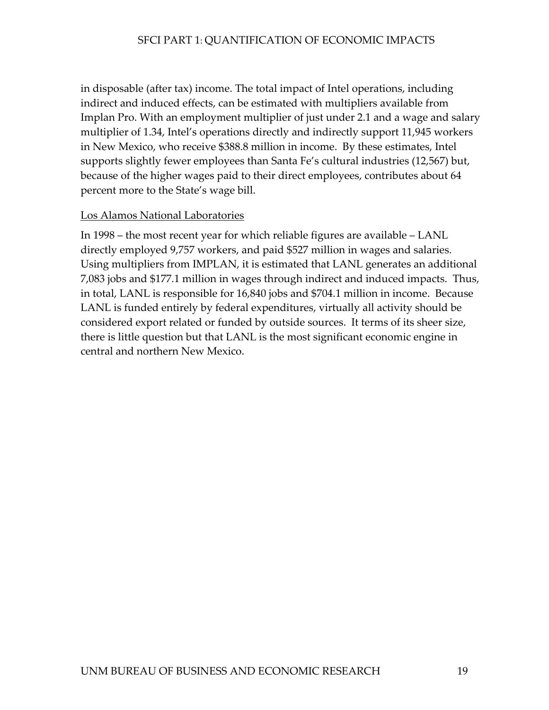in disposable (after tax) income. The total impact of Intel operations, including indirect and induced effects, can be estimated with multipliers available from Implan Pro. With an employment multiplier of just under 2.1 and a wage and s alary multiplier of 1.34, Intel's operations directly and indirectly support 11,945 workers in New Mexico, who receive \$388.8 million in income. By these estimates, Intel supports slightly fewer employees than Santa Fe's cultural industries (12,567) bu t, because of the higher wages paid to their direct employees, contributes about 64 percent more to the State's wage bill.

#### Los Alamos National Laboratories

In 1998 – the most recent year for which reliable figures are available – LANL Using multipliers from IMPLAN, it is estimated that LANL generates an additional directly employed 9,757 workers, and paid \$527 million in wages and salaries. 7,083 jobs and \$177.1 million in wages through indirect and induced impacts. Thus, in total, LANL is responsible for 16,840 jobs and \$704.1 million in income. Because LANL is funded entirely by federal expenditures, virtually all activity should be considered export related or funded by outside sources. It terms of its sheer size, there is little question but that LANL is the most significant economic engine in central and northern New Mexico.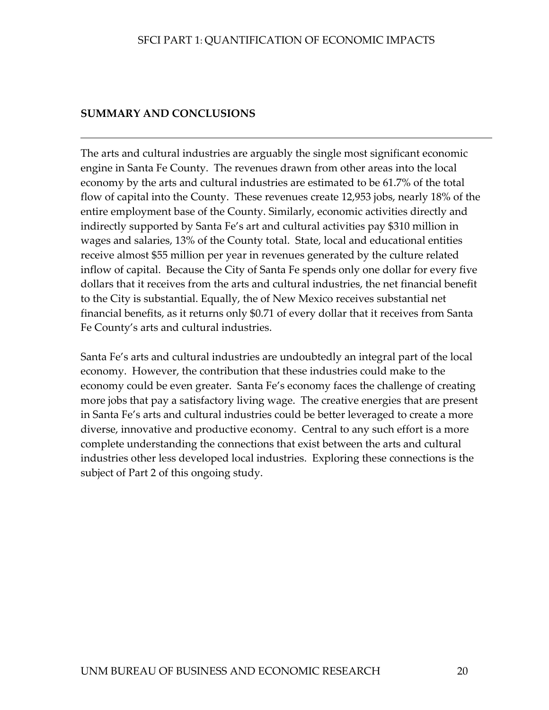# <span id="page-26-0"></span>**SUMMARY AND CONCLUSIONS**

The arts and cultural industries are arguably the single most significant economic engine in Santa Fe County. The revenues drawn from other areas into the local economy by the arts and cultural industries are estimated to be 61.7% of the total flow of capital into the County. These revenues create 12,953 jobs, nearly 18% of the entire employment base of the County. Similarly, economic activities directly and indirectly supported by Santa Fe's art and cultural activities pay \$310 million in wages and salaries, 13% of the County total. State, local and educational entities receive almost \$55 million per year in revenues generated by the culture related inflow of capital. Because the City of Santa Fe spends only one dollar for every five dollars that it receives from the arts and cultural industries, the net financial benefit to the City is substantial. Equally, the of New Mexico receives substantial net financial benefits, as it returns only \$0.71 of every dollar that it receives from Santa Fe County's arts and cultural industries.

Santa Fe's arts and cultural industries are undoubtedly an integral part of the local economy. However, the contribution that these industries could make to the economy could be even greater. Santa Fe's economy faces the challenge of creating more jobs that pay a satisfactory living wage. The creative energies that are present in Santa Fe's arts and cultural industries could be better leveraged to create a more diverse, innovative and productive economy. Central to any such effort is a more complete understanding the connections that exist between the arts and cultural industries other less developed local industries. Exploring these connections is the subject of Part 2 of this ongoing study.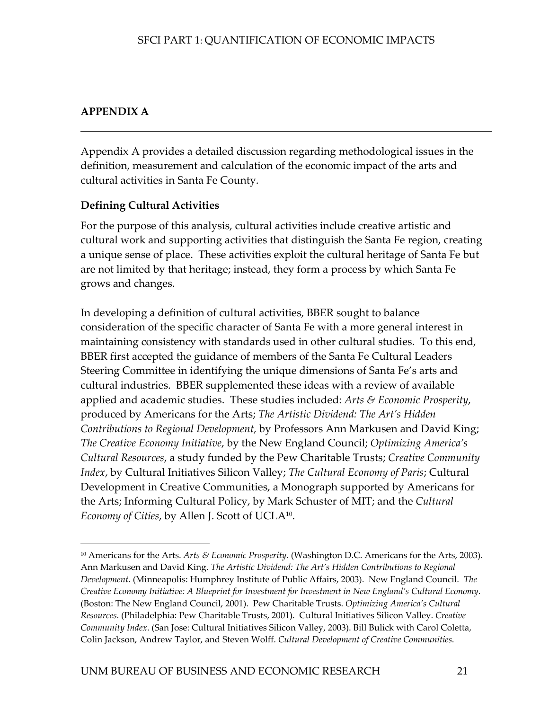# <span id="page-27-1"></span><span id="page-27-0"></span>**APPENDIX A**

 $\overline{a}$ 

Appendix A provides a detailed discussion regarding methodological issues in the definition, measurement and calculation of the economic impact of the arts and cultural activities in Santa Fe County.

# **Defining Cultural Activities**

For the purpose of this analysis, cultural activities include creative artistic and cultural work and supporting activities that distinguish the Santa Fe region, creating a unique sense of place. These activities exploit the cultural heritage of Santa Fe but are not limited by that heritage; instead, they form a process by which Santa Fe grows and changes.

In developing a definition of cultural activities, BBER sought to balance consideration of the specific character of Santa Fe with a more general interest in maintaining consistency with standards used in other cultural studies. To this end, BBER first accepted the guidance of members of the Santa Fe Cultural Leaders Steering Committee in identifying the unique dimensions of Santa Fe's arts and cultural industries. BBER supplemented these ideas with a review of available applied and academic studies. These studies included: *Arts & Economic Prosperity*, produced by Americans for the Arts; *The Artistic Dividend: The Art's Hidden Contributions to Regional Development*, by Professors Ann Markusen and David King; *The Creative Economy Initiative*, by the New England Council; *Optimizing America's Cultural Resources*, a study funded by the Pew Charitable Trusts; *Creative Community Index*, by Cultural Initiatives Silicon Valley; *The Cultural Economy of Paris*; Cultural Development in Creative Communities, a Monograph supported by Americans for the Arts; Informing Cultural Policy, by Mark Schuster of MIT; and the *Cultural Economy of Cities*, by Allen J. Scott of UCL[A10.](#page-27-1)

<sup>10</sup> Americans for the Arts. *Arts & Economic Prosperity*. (Washington D.C. Americans for the Arts, 2003). Ann Markusen and David King. *The Artistic Dividend: The Art's Hidden Contributions to Regional Development*. (Minneapolis: Humphrey Institute of Public Affairs, 2003). New England Council. *The Creative Economy Initiative: A Blueprint for Investment for Investment in New England's Cultural Economy*. (Boston: The New England Council, 2001). Pew Charitable Trusts. *Optimizing America's Cultural Resources*. (Philadelphia: Pew Charitable Trusts, 2001). Cultural Initiatives Silicon Valley. *Creative Community Index*. (San Jose: Cultural Initiatives Silicon Valley, 2003). Bill Bulick with Carol Coletta, Colin Jackson, Andrew Taylor, and Steven Wolff. *Cultural Development of Creative Communities*.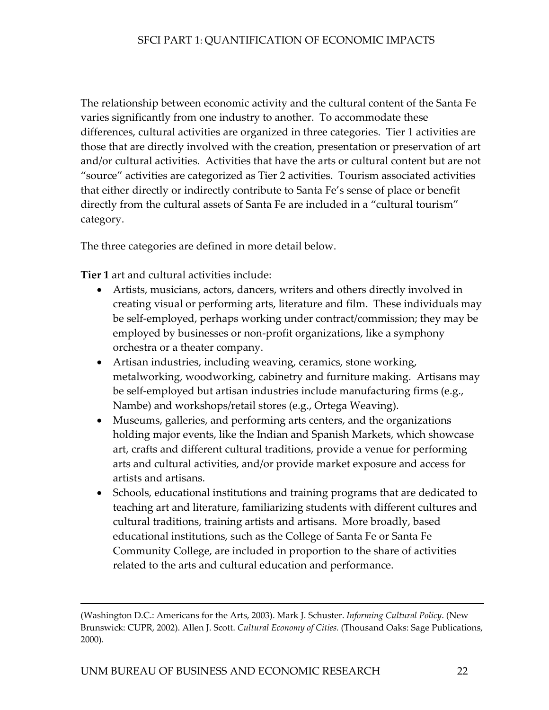The relationship between economic activity and the cultural content of the Santa Fe varies significantly from one industry to another. To accommodate these differences, cultural activities are organized in three categories. Tier 1 activities are those that are directly involved with the creation, presentation or preservation of art and/or cultural activities. Activities that have the arts or cultural content but are not "source" activities are categorized as Tier 2 activities. Tourism associated activities that either directly or indirectly contribute to Santa Fe's sense of place or benefit directly from the cultural assets of Santa Fe are included in a "cultural tourism" category.

The three categories are defined in more detail below.

**Tier 1** art and cultural activities include:

 $\overline{a}$ 

- Artists, musicians, actors, dancers, writers and others directly involved in creating visual or performing arts, literature and film. These individuals may be self-employed, perhaps working under contract/commission; they may be employed by businesses or non-profit organizations, like a symphony orchestra or a theater company.
- Artisan industries, including weaving, ceramics, stone working, metalworking, woodworking, cabinetry and furniture making. Artisans may be self-employed but artisan industries include manufacturing firms (e.g., Nambe) and workshops/retail stores (e.g., Ortega Weaving).
- Museums, galleries, and performing arts centers, and the organizations holding major events, like the Indian and Spanish Markets, which showcase art, crafts and different cultural traditions, provide a venue for performing arts and cultural activities, and/or provide market exposure and access for artists and artisans.
- Schools, educational institutions and training programs that are dedicated to teaching art and literature, familiarizing students with different cultures and cultural traditions, training artists and artisans. More broadly, based educational institutions, such as the College of Santa Fe or Santa Fe Community College, are included in proportion to the share of activities related to the arts and cultural education and performance.

<sup>(</sup>Washington D.C.: Americans for the Arts, 2003). Mark J. Schuster. *Informing Cultural Policy*. (New Brunswick: CUPR, 2002). Allen J. Scott. *Cultural Economy of Cities.* (Thousand Oaks: Sage Publications, 2000).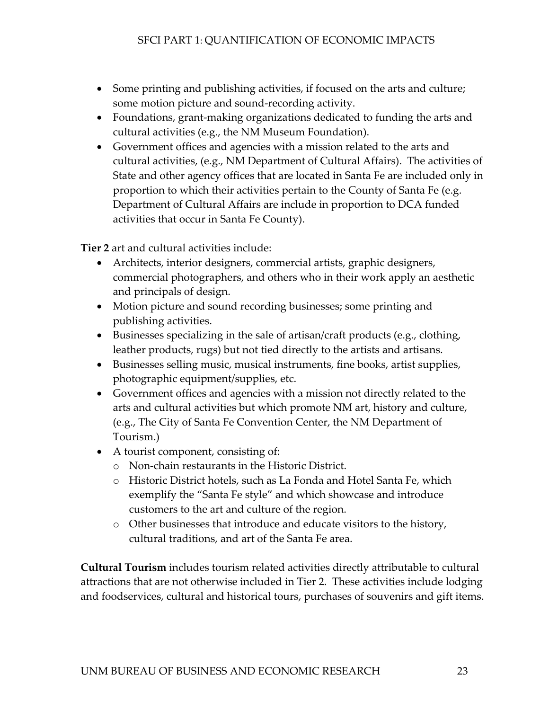- Some printing and publishing activities, if focused on the arts and culture; some motion picture and sound-recording activity.
- Foundations, grant-making organizations dedicated to funding the arts and cultural activities (e.g., the NM Museum Foundation).
- Government offices and agencies with a mission related to the arts and cultural activities, (e.g., NM Department of Cultural Affairs). The activities of State and other agency offices that are located in Santa Fe are included only in proportion to which their activities pertain to the County of Santa Fe (e.g. Department of Cultural Affairs are include in proportion to DCA funded activities that occur in Santa Fe County).

**Tier 2** art and cultural activities include:

- Architects, interior designers, commercial artists, graphic designers, commercial photographers, and others who in their work apply an aesthetic and principals of design.
- Motion picture and sound recording businesses; some printing and publishing activities.
- Businesses specializing in the sale of artisan/craft products (e.g., clothing, leather products, rugs) but not tied directly to the artists and artisans.
- Businesses selling music, musical instruments, fine books, artist supplies, photographic equipment/supplies, etc.
- Government offices and agencies with a mission not directly related to the arts and cultural activities but which promote NM art, history and culture, (e.g., The City of Santa Fe Convention Center, the NM Department of Tourism.)
- A tourist component, consisting of:
	- o Non-chain restaurants in the Historic District.
	- o Historic District hotels, such as La Fonda and Hotel Santa Fe, which exemplify the "Santa Fe style" and which showcase and introduce customers to the art and culture of the region.
	- o Other businesses that introduce and educate visitors to the history, cultural traditions, and art of the Santa Fe area.

**Cultural Tourism** includes tourism related activities directly attributable to cultural attractions that are not otherwise included in Tier 2. These activities include lodging and foodservices, cultural and historical tours, purchases of souvenirs and gift items.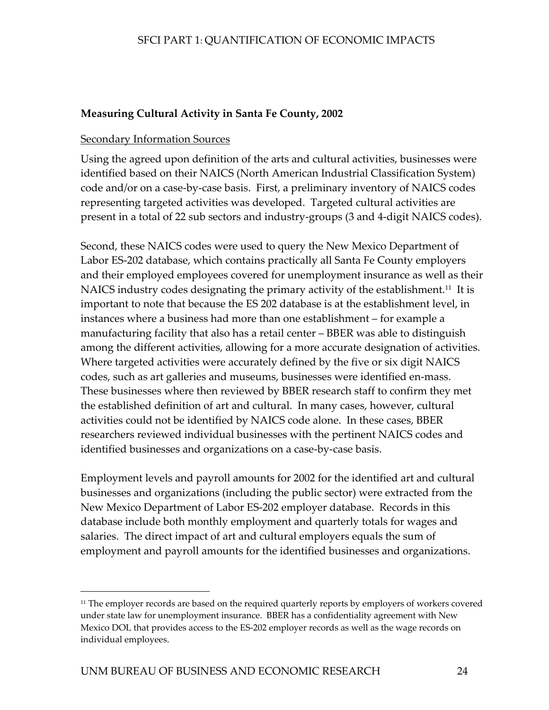#### **Measuring Cultural Activity in Santa Fe County, 2002**

#### Secondary Information Sources

Using the agreed upon definition of the arts and cultural activities, businesses were identified based on their NAICS (North American Industrial Classification System) code and/or on a case-by-case basis. First, a preliminary inventory of NAICS codes representing targeted activities was developed. Targeted cultural activities are present in a total of 22 sub sectors and industry-groups (3 and 4-digit NAICS codes).

Second, these NAICS codes were used to query the New Mexico Department of Labor ES-202 database, which contains practically all Santa Fe County employers and their employed employees covered for unemployment insurance as well as their NAICS industry codes designating the primary activity of the establishment.<sup>11</sup> It is important to note that because the ES 202 database is at the establishment level, in instances where a business had more than one establishment – for example a manufacturing facility that also has a retail center – BBER was able to distinguish among the different activities, allowing for a more accurate designation of activities. Where targeted activities were accurately defined by the five or six digit NAICS codes, such as art galleries and museums, businesses were identified en-mass. These businesses where then reviewed by BBER research staff to confirm they met the established definition of art and cultural. In many cases, however, cultural activities could not be identified by NAICS code alone. In these cases, BBER researchers reviewed individual businesses with the pertinent NAICS codes and identified businesses and organizations on a case-by-case basis.

Employment levels and payroll amounts for 2002 for the identified art and cultural businesses and organizations (including the public sector) were extracted from the New Mexico Department of Labor ES-202 employer database. Records in this database include both monthly employment and quarterly totals for wages and salaries. The direct impact of art and cultural employers equals the sum of employment and payroll amounts for the identified businesses and organizations.

-

<span id="page-30-0"></span><sup>&</sup>lt;sup>11</sup> The employer records are based on the required quarterly reports by employers of workers covered under state law for unemployment insurance. BBER has a confidentiality agreement with New Mexico DOL that provides access to the ES-202 employer records as well as the wage records on individual employees.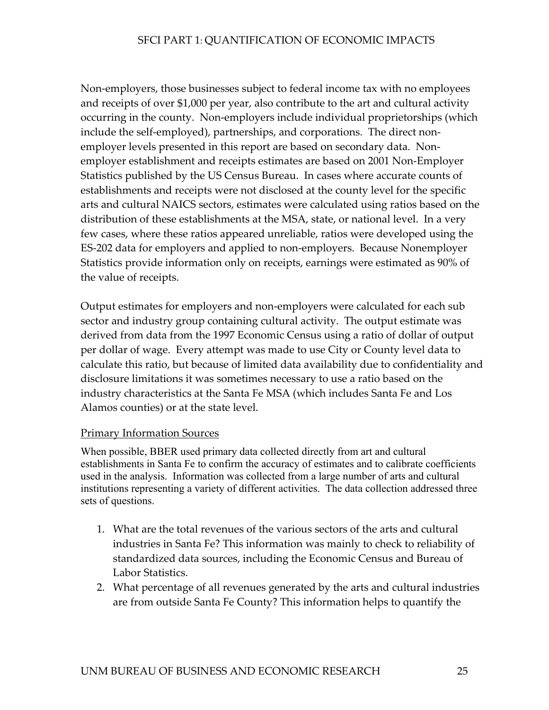Non-employers, those businesses subject to federal income tax with no employees and receipts of over \$1,000 per year, also contribute to the art and cultural activity occurring in the county. Non-employers include individual proprietorships (which include the self-employed), partnerships, and corporations. The direct nonemployer levels presented in this report are based on secondary data. Nonemployer establishment and receipts estimates are based on 2001 Non-Employer Statistics published by the US Census Bureau. In cases where accurate counts of establishments and receipts were not disclosed at the county level for the specific arts and cultural NAICS sectors, estimates were calculated using ratios based on the distribution of these establishments at the MSA, state, or national level. In a very few cases, where these ratios appeared unreliable, ratios were developed using the ES-202 data for employers and applied to non-employers. Because Nonemployer Statistics provide information only on receipts, earnings were estimated as 90% of the value of receipts.

Output estimates for employers and non-employers were calculated for each sub sector and industry group containing cultural activity. The output estimate was derived from data from the 1997 Economic Census using a ratio of dollar of output per dollar of wage. Every attempt was made to use City or County level data to calculate this ratio, but because of limited data availability due to confidentiality and disclosure limitations it was sometimes necessary to use a ratio based on the industry characteristics at the Santa Fe MSA (which includes Santa Fe and Los Alamos counties) or at the state level.

#### Primary Information Sources

When possible, BBER used primary data collected directly from art and cultural establishments in Santa Fe to confirm the accuracy of estimates and to calibrate coefficients used in the analysis. Information was collected from a large number of arts and cultural institutions representing a variety of different activities. The data collection addressed three sets of questions.

- 1. What are the total revenues of the various sectors of the arts and cultural industries in Santa Fe? This information was mainly to check to reliability of standardized data sources, including the Economic Census and Bureau of Labor Statistics.
- 2. What percentage of all revenues generated by the arts and cultural industries are from outside Santa Fe County? This information helps to quantify the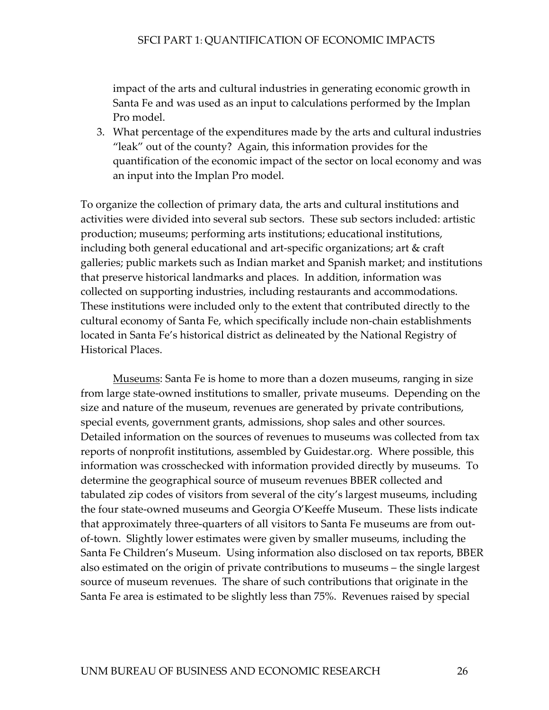impact of the arts and cultural industries in generating economic growth in Santa Fe and was used as an input to calculations performed by the Implan Pro model.

3. What percentage of the expenditures made by the arts and cultural industries "leak" out of the county? Again, this information provides for the quantification of the economic impact of the sector on local economy and was an input into the Implan Pro model.

To organize the collection of primary data, the arts and cultural institutions and activities were divided into several sub sectors. These sub sectors included: artistic production; museums; performing arts institutions; educational institutions, including both general educational and art-specific organizations; art & craft galleries; public markets such as Indian market and Spanish market; and institutions that preserve historical landmarks and places. In addition, information was collected on supporting industries, including restaurants and accommodations. These institutions were included only to the extent that contributed directly to the cultural economy of Santa Fe, which specifically include non-chain establishments located in Santa Fe's historical district as delineated by the National Registry of Historical Places.

Museums: Santa Fe is home to more than a dozen museums, ranging in size from large state-owned institutions to smaller, private museums. Depending on the size and nature of the museum, revenues are generated by private contributions, special events, government grants, admissions, shop sales and other sources. Detailed information on the sources of revenues to museums was collected from tax reports of nonprofit institutions, assembled by Guidestar.org. Where possible, this information was crosschecked with information provided directly by museums. To determine the geographical source of museum revenues BBER collected and tabulated zip codes of visitors from several of the city's largest museums, including the four state-owned museums and Georgia O'Keeffe Museum. These lists indicate that approximately three-quarters of all visitors to Santa Fe museums are from outof-town. Slightly lower estimates were given by smaller museums, including the Santa Fe Children's Museum. Using information also disclosed on tax reports, BBER also estimated on the origin of private contributions to museums – the single largest source of museum revenues. The share of such contributions that originate in the Santa Fe area is estimated to be slightly less than 75%. Revenues raised by special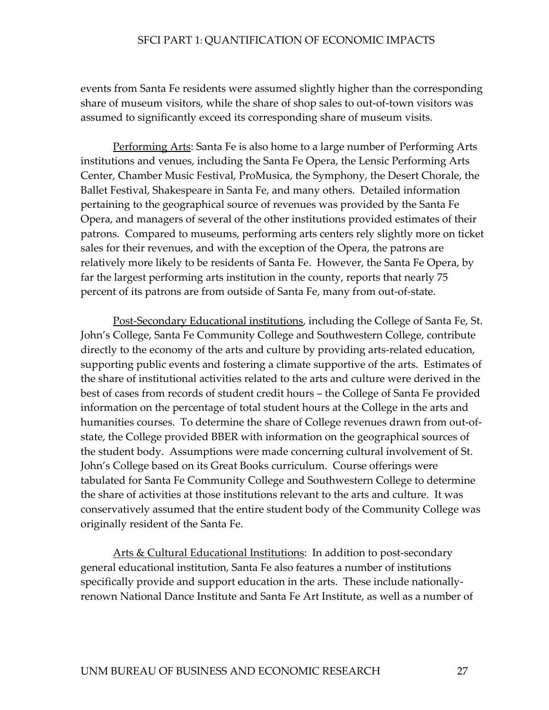events from Santa Fe residents were assumed slightly higher than the corresponding share of museum visitors, while the share of shop sales to out-of-town visitors was assumed to significantly exceed its corresponding share of museum visits.

Performing Arts: Santa Fe is also home to a large number of Performing Arts institutions and venues, including the Santa Fe Opera, the Lensic Performing Arts Center, Chamber Music Festival, ProMusica, the Symphony, the Desert Chorale, the Ballet Festival, Shakespeare in Santa Fe, and many others. Detailed information pertaining to the geographical source of revenues was provided by the Santa Fe Opera, and managers of several of the other institutions provided estimates of their patrons. Compared to museums, performing arts centers rely slightly more on ticket sales for their revenues, and with the exception of the Opera, the patrons are relatively more likely to be residents of Santa Fe. However, the Santa Fe Opera, by far the largest performing arts institution in the county, reports that nearly 75 percent of its patrons are from outside of Santa Fe, many from out-of-state.

Post-Secondary Educational institutions, including the College of Santa Fe, St. John's College, Santa Fe Community College and Southwestern College, contribute directly to the economy of the arts and culture by providing arts-related education, supporting public events and fostering a climate supportive of the arts. Estimates of the share of institutional activities related to the arts and culture were derived in the best of cases from records of student credit hours – the College of Santa Fe provided information on the percentage of total student hours at the College in the arts and humanities courses. To determine the share of College revenues drawn from out-ofstate, the College provided BBER with information on the geographical sources of the student body. Assumptions were made concerning cultural involvement of St. John's College based on its Great Books curriculum. Course offerings were tabulated for Santa Fe Community College and Southwestern College to determine the share of activities at those institutions relevant to the arts and culture. It was conservatively assumed that the entire student body of the Community College was originally resident of the Santa Fe.

Arts & Cultural Educational Institutions: In addition to post-secondary general educational institution, Santa Fe also features a number of institutions specifically provide and support education in the arts. These include nationallyrenown National Dance Institute and Santa Fe Art Institute, as well as a number of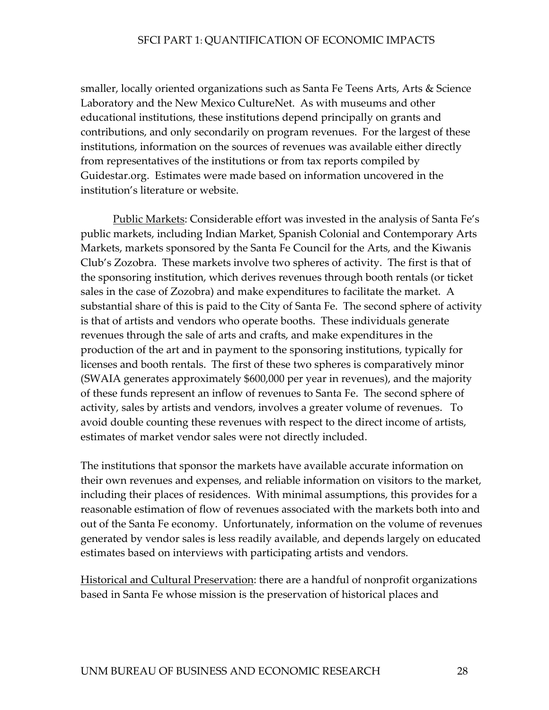smaller, locally oriented organizations such as Santa Fe Teens Arts, Arts & Science Laboratory and the New Mexico CultureNet. As with museums and other educational institutions, these institutions depend principally on grants and contributions, and only secondarily on program revenues. For the largest of these institutions, information on the sources of revenues was available either directly from representatives of the institutions or from tax reports compiled by Guidestar.org. Estimates were made based on information uncovered in the institution's literature or website.

Public Markets: Considerable effort was invested in the analysis of Santa Fe's public markets, including Indian Market, Spanish Colonial and Contemporary Arts Markets, markets sponsored by the Santa Fe Council for the Arts, and the Kiwanis Club's Zozobra. These markets involve two spheres of activity. The first is that of the sponsoring institution, which derives revenues through booth rentals (or ticket sales in the case of Zozobra) and make expenditures to facilitate the market. A substantial share of this is paid to the City of Santa Fe. The second sphere of activity is that of artists and vendors who operate booths. These individuals generate revenues through the sale of arts and crafts, and make expenditures in the production of the art and in payment to the sponsoring institutions, typically for licenses and booth rentals. The first of these two spheres is comparatively minor (SWAIA generates approximately \$600,000 per year in revenues), and the majority of these funds represent an inflow of revenues to Santa Fe. The second sphere of activity, sales by artists and vendors, involves a greater volume of revenues. To avoid double counting these revenues with respect to the direct income of artists, estimates of market vendor sales were not directly included.

The institutions that sponsor the markets have available accurate information on their own revenues and expenses, and reliable information on visitors to the market, including their places of residences. With minimal assumptions, this provides for a reasonable estimation of flow of revenues associated with the markets both into and out of the Santa Fe economy. Unfortunately, information on the volume of revenues generated by vendor sales is less readily available, and depends largely on educated estimates based on interviews with participating artists and vendors.

Historical and Cultural Preservation: there are a handful of nonprofit organizations based in Santa Fe whose mission is the preservation of historical places and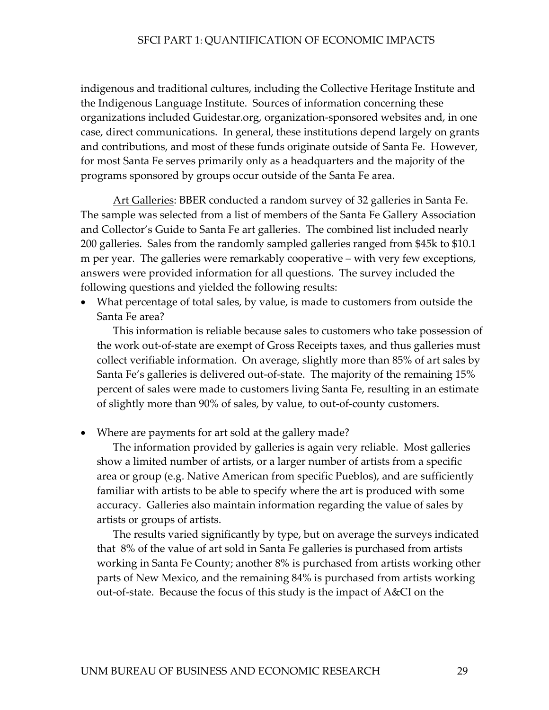indigenous and traditional cultures, including the Collective Heritage Institute and the Indigenous Language Institute. Sources of information concerning these organizations included Guidestar.org, organization-sponsored websites and, in one case, direct communications. In general, these institutions depend largely on grants and contributions, and most of these funds originate outside of Santa Fe. However, for most Santa Fe serves primarily only as a headquarters and the majority of the programs sponsored by groups occur outside of the Santa Fe area.

Art Galleries: BBER conducted a random survey of 32 galleries in Santa Fe. The sample was selected from a list of members of the Santa Fe Gallery Association and Collector's Guide to Santa Fe art galleries. The combined list included nearly 200 galleries. Sales from the randomly sampled galleries ranged from \$45k to \$10.1 m per year. The galleries were remarkably cooperative – with very few exceptions, answers were provided information for all questions. The survey included the following questions and yielded the following results:

• What percentage of total sales, by value, is made to customers from outside the Santa Fe area?

This information is reliable because sales to customers who take possession of the work out-of-state are exempt of Gross Receipts taxes, and thus galleries must collect verifiable information. On average, slightly more than 85% of art sales by Santa Fe's galleries is delivered out-of-state. The majority of the remaining 15% percent of sales were made to customers living Santa Fe, resulting in an estimate of slightly more than 90% of sales, by value, to out-of-county customers.

• Where are payments for art sold at the gallery made?

The information provided by galleries is again very reliable. Most galleries show a limited number of artists, or a larger number of artists from a specific area or group (e.g. Native American from specific Pueblos), and are sufficiently familiar with artists to be able to specify where the art is produced with some accuracy. Galleries also maintain information regarding the value of sales by artists or groups of artists.

The results varied significantly by type, but on average the surveys indicated that 8% of the value of art sold in Santa Fe galleries is purchased from artists working in Santa Fe County; another 8% is purchased from artists working other parts of New Mexico, and the remaining 84% is purchased from artists working out-of-state. Because the focus of this study is the impact of A&CI on the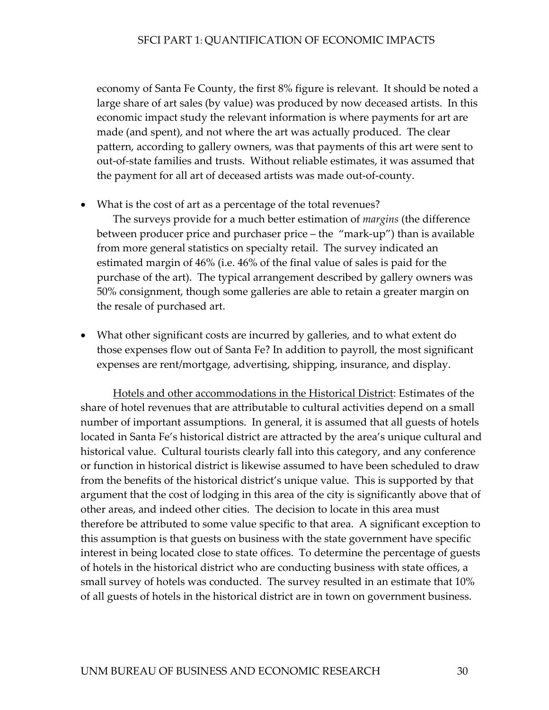economy of Santa Fe County, the first 8% figure is relevant. It should be noted a large share of art sales (by value) was produced by now deceased artists. In this economic impact study the relevant information is where payments for art are made (and spent), and not where the art was actually produced. The clear pattern, according to gallery owners, was that payments of this art were sent to out-of-state families and trusts. Without reliable estimates, it was assumed that the payment for all art of deceased artists was made out-of-county.

• What is the cost of art as a percentage of the total revenues?

The surveys provide for a much better estimation of *margins* (the difference between producer price and purchaser price – the "mark-up") than is available from more general statistics on specialty retail. The survey indicated an estimated margin of 46% (i.e. 46% of the final value of sales is paid for the purchase of the art). The typical arrangement described by gallery owners was 50% consignment, though some galleries are able to retain a greater margin on the resale of purchased art.

• What other significant costs are incurred by galleries, and to what extent do those expenses flow out of Santa Fe? In addition to payroll, the most significant expenses are rent/mortgage, advertising, shipping, insurance, and display.

Hotels and other accommodations in the Historical District: Estimates of the share of hotel revenues that are attributable to cultural activities depend on a small number of important assumptions. In general, it is assumed that all guests of hotels located in Santa Fe's historical district are attracted by the area's unique cultural and historical value. Cultural tourists clearly fall into this category, and any conference or function in historical district is likewise assumed to have been scheduled to draw from the benefits of the historical district's unique value. This is supported by that argument that the cost of lodging in this area of the city is significantly above that of other areas, and indeed other cities. The decision to locate in this area must therefore be attributed to some value specific to that area. A significant exception to this assumption is that guests on business with the state government have specific interest in being located close to state offices. To determine the percentage of guests of hotels in the historical district who are conducting business with state offices, a small survey of hotels was conducted. The survey resulted in an estimate that 10% of all guests of hotels in the historical district are in town on government business.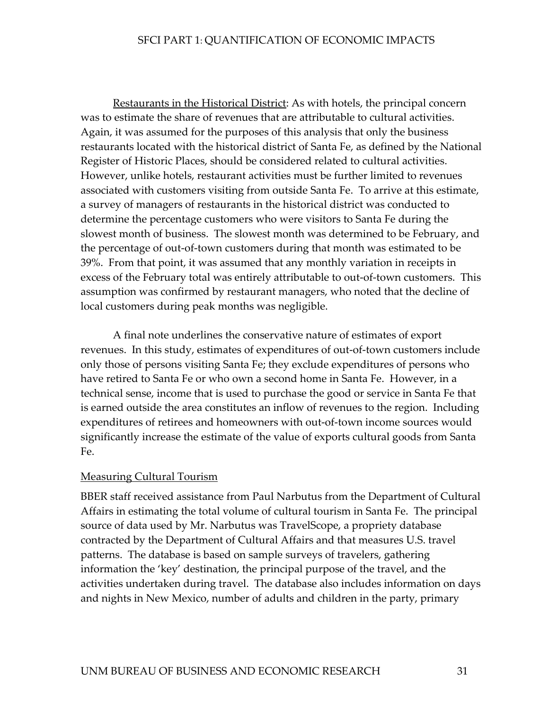Restaurants in the Historical District: As with hotels, the principal concern was to estimate the share of revenues that are attributable to cultural activities. Again, it was assumed for the purposes of this analysis that only the business restaurants located with the historical district of Santa Fe, as defined by the National Register of Historic Places, should be considered related to cultural activities. However, unlike hotels, restaurant activities must be further limited to revenues associated with customers visiting from outside Santa Fe. To arrive at this estimate, a survey of managers of restaurants in the historical district was conducted to determine the percentage customers who were visitors to Santa Fe during the slowest month of business. The slowest month was determined to be February, and the percentage of out-of-town customers during that month was estimated to be 39%. From that point, it was assumed that any monthly variation in receipts in excess of the February total was entirely attributable to out-of-town customers. This assumption was confirmed by restaurant managers, who noted that the decline of local customers during peak months was negligible.

A final note underlines the conservative nature of estimates of export revenues. In this study, estimates of expenditures of out-of-town customers include only those of persons visiting Santa Fe; they exclude expenditures of persons who have retired to Santa Fe or who own a second home in Santa Fe. However, in a technical sense, income that is used to purchase the good or service in Santa Fe that is earned outside the area constitutes an inflow of revenues to the region. Including expenditures of retirees and homeowners with out-of-town income sources would significantly increase the estimate of the value of exports cultural goods from Santa Fe.

#### Measuring Cultural Tourism

BBER staff received assistance from Paul Narbutus from the Department of Cultural Affairs in estimating the total volume of cultural tourism in Santa Fe. The principal source of data used by Mr. Narbutus was TravelScope, a propriety database contracted by the Department of Cultural Affairs and that measures U.S. travel patterns. The database is based on sample surveys of travelers, gathering information the 'key' destination, the principal purpose of the travel, and the activities undertaken during travel. The database also includes information on days and nights in New Mexico, number of adults and children in the party, primary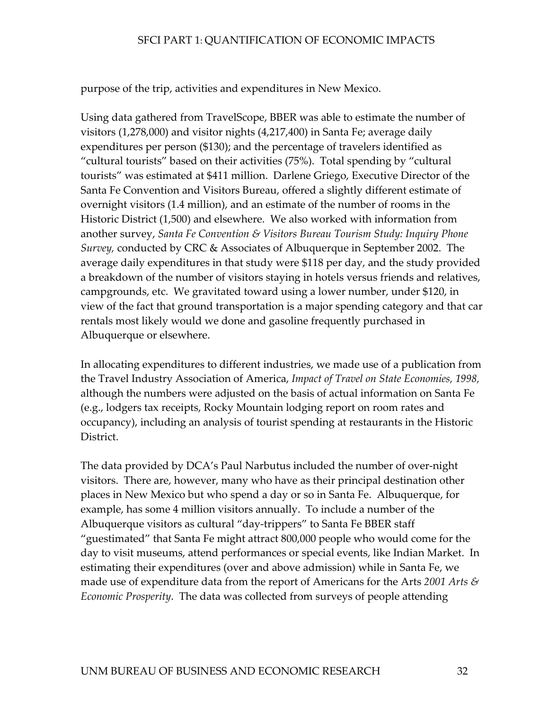purpose of the trip, activities and expenditures in New Mexico.

Using data gathered from TravelScope, BBER was able to estimate the number of visitors (1,278,000) and visitor nights (4,217,400) in Santa Fe; average daily expenditures per person (\$130); and the percentage of travelers identified as "cultural tourists" based on their activities (75%). Total spending by "cultural tourists" was estimated at \$411 million. Darlene Griego, Executive Director of the Santa Fe Convention and Visitors Bureau, offered a slightly different estimate of overnight visitors (1.4 million), and an estimate of the number of rooms in the Historic District (1,500) and elsewhere. We also worked with information from another survey, *Santa Fe Convention & Visitors Bureau Tourism Study: Inquiry Phone Survey,* conducted by CRC & Associates of Albuquerque in September 2002. The average daily expenditures in that study were \$118 per day, and the study provided a breakdown of the number of visitors staying in hotels versus friends and relatives, campgrounds, etc. We gravitated toward using a lower number, under \$120, in view of the fact that ground transportation is a major spending category and that car rentals most likely would we done and gasoline frequently purchased in Albuquerque or elsewhere.

In allocating expenditures to different industries, we made use of a publication from the Travel Industry Association of America, *Impact of Travel on State Economies, 1998,* although the numbers were adjusted on the basis of actual information on Santa Fe (e.g., lodgers tax receipts, Rocky Mountain lodging report on room rates and occupancy), including an analysis of tourist spending at restaurants in the Historic District.

The data provided by DCA's Paul Narbutus included the number of over-night visitors. There are, however, many who have as their principal destination other places in New Mexico but who spend a day or so in Santa Fe. Albuquerque, for example, has some 4 million visitors annually. To include a number of the Albuquerque visitors as cultural "day-trippers" to Santa Fe BBER staff "guestimated" that Santa Fe might attract 800,000 people who would come for the day to visit museums, attend performances or special events, like Indian Market. In estimating their expenditures (over and above admission) while in Santa Fe, we made use of expenditure data from the report of Americans for the Arts *2001 Arts & Economic Prosperity*. The data was collected from surveys of people attending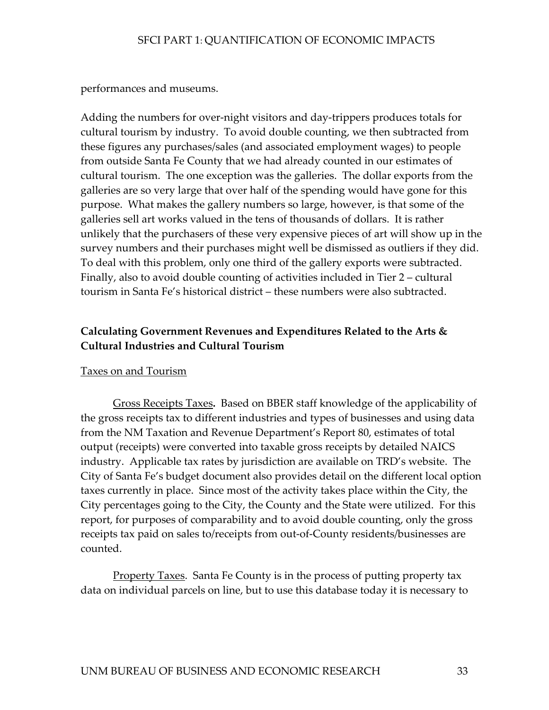performances and museums.

Adding the numbers for over-night visitors and day-trippers produces totals for cultural tourism by industry. To avoid double counting, we then subtracted from these figures any purchases/sales (and associated employment wages) to people from outside Santa Fe County that we had already counted in our estimates of cultural tourism. The one exception was the galleries. The dollar exports from the galleries are so very large that over half of the spending would have gone for this purpose. What makes the gallery numbers so large, however, is that some of the galleries sell art works valued in the tens of thousands of dollars. It is rather unlikely that the purchasers of these very expensive pieces of art will show up in the survey numbers and their purchases might well be dismissed as outliers if they did. To deal with this problem, only one third of the gallery exports were subtracted. Finally, also to avoid double counting of activities included in Tier 2 – cultural tourism in Santa Fe's historical district – these numbers were also subtracted.

# **Calculating Government Revenues and Expenditures Related to the Arts & Cultural Industries and Cultural Tourism**

#### Taxes on and Tourism

Gross Receipts Taxes**.** Based on BBER staff knowledge of the applicability of the gross receipts tax to different industries and types of businesses and using data from the NM Taxation and Revenue Department's Report 80, estimates of total output (receipts) were converted into taxable gross receipts by detailed NAICS industry. Applicable tax rates by jurisdiction are available on TRD's website. The City of Santa Fe's budget document also provides detail on the different local option taxes currently in place. Since most of the activity takes place within the City, the City percentages going to the City, the County and the State were utilized. For this report, for purposes of comparability and to avoid double counting, only the gross receipts tax paid on sales to/receipts from out-of-County residents/businesses are counted.

**Property Taxes.** Santa Fe County is in the process of putting property tax data on individual parcels on line, but to use this database today it is necessary to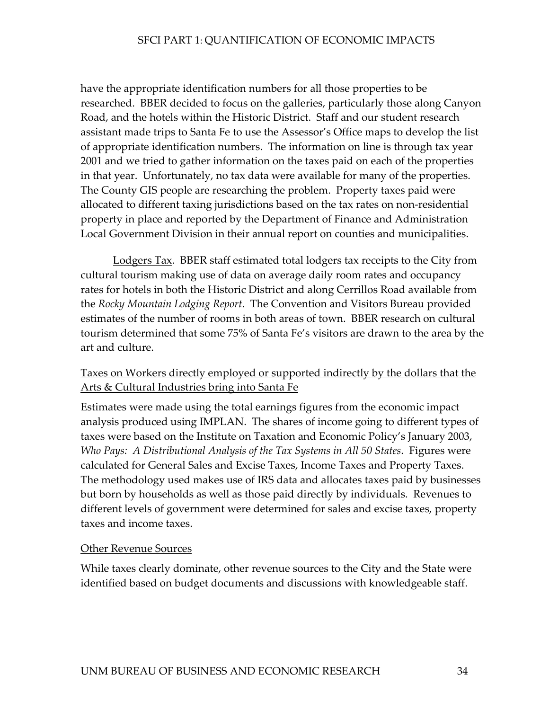have the appropriate identification numbers for all those properties to be researched. BBER decided to focus on the galleries, particularly those along Canyon Road, and the hotels within the Historic District. Staff and our student research assistant made trips to Santa Fe to use the Assessor's Office maps to develop the list of appropriate identification numbers. The information on line is through tax year 2001 and we tried to gather information on the taxes paid on each of the properties in that year. Unfortunately, no tax data were available for many of the properties. The County GIS people are researching the problem. Property taxes paid were allocated to different taxing jurisdictions based on the tax rates on non-residential property in place and reported by the Department of Finance and Administration Local Government Division in their annual report on counties and municipalities.

 Lodgers Tax. BBER staff estimated total lodgers tax receipts to the City from cultural tourism making use of data on average daily room rates and occupancy rates for hotels in both the Historic District and along Cerrillos Road available from the *Rocky Mountain Lodging Report*. The Convention and Visitors Bureau provided estimates of the number of rooms in both areas of town. BBER research on cultural tourism determined that some 75% of Santa Fe's visitors are drawn to the area by the art and culture.

# Taxes on Workers directly employed or supported indirectly by the dollars that the Arts & Cultural Industries bring into Santa Fe

Estimates were made using the total earnings figures from the economic impact analysis produced using IMPLAN. The shares of income going to different types of taxes were based on the Institute on Taxation and Economic Policy's January 2003, *Who Pays: A Distributional Analysis of the Tax Systems in All 50 States*. Figures were calculated for General Sales and Excise Taxes, Income Taxes and Property Taxes. The methodology used makes use of IRS data and allocates taxes paid by businesses but born by households as well as those paid directly by individuals. Revenues to different levels of government were determined for sales and excise taxes, property taxes and income taxes.

#### Other Revenue Sources

While taxes clearly dominate, other revenue sources to the City and the State were identified based on budget documents and discussions with knowledgeable staff.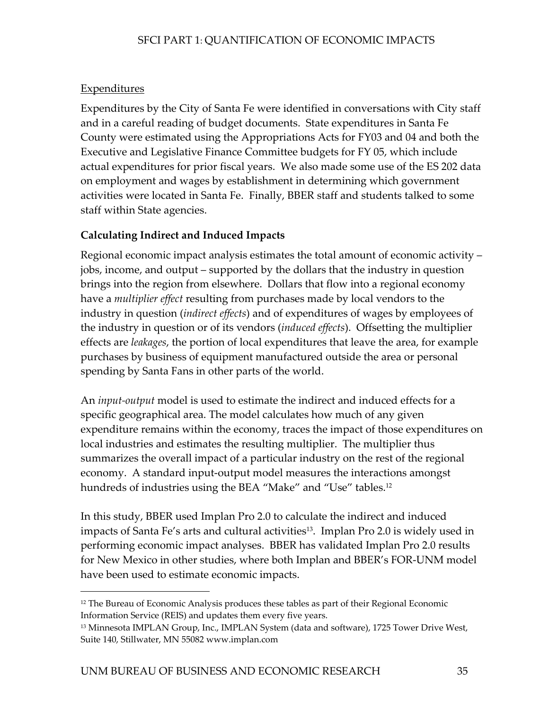# **Expenditures**

-

Expenditures by the City of Santa Fe were identified in conversations with City staff and in a careful reading of budget documents. State expenditures in Santa Fe County were estimated using the Appropriations Acts for FY03 and 04 and both the Executive and Legislative Finance Committee budgets for FY 05, which include actual expenditures for prior fiscal years. We also made some use of the ES 202 data on employment and wages by establishment in determining which government activities were located in Santa Fe. Finally, BBER staff and students talked to some staff within State agencies.

# **Calculating Indirect and Induced Impacts**

Regional economic impact analysis estimates the total amount of economic activity – jobs, income, and output – supported by the dollars that the industry in question brings into the region from elsewhere. Dollars that flow into a regional economy have a *multiplier effect* resulting from purchases made by local vendors to the industry in question (*indirect effects*) and of expenditures of wages by employees of the industry in question or of its vendors (*induced effects*). Offsetting the multiplier effects are *leakages*, the portion of local expenditures that leave the area, for example purchases by business of equipment manufactured outside the area or personal spending by Santa Fans in other parts of the world.

An *input-output* model is used to estimate the indirect and induced effects for a specific geographical area. The model calculates how much of any given expenditure remains within the economy, traces the impact of those expenditures on local industries and estimates the resulting multiplier. The multiplier thus summarizes the overall impact of a particular industry on the rest of the regional economy. A standard input-output model measures the interactions amongst hundreds of industries using the BEA "Make" and "Use" tables.<sup>12</sup>

In this study, BBER used Implan Pro 2.0 to calculate the indirect and induced impacts of Santa Fe's arts and cultural activities<sup>13</sup>. Implan Pro 2.0 is widely used in performing economic impact analyses. BBER has validated Implan Pro 2.0 results for New Mexico in other studies, where both Implan and BBER's FOR-UNM model have been used to estimate economic impacts.

<span id="page-41-0"></span><sup>&</sup>lt;sup>12</sup> The Bureau of Economic Analysis produces these tables as part of their Regional Economic Information Service (REIS) and updates them every five years.

<span id="page-41-1"></span><sup>13</sup> Minnesota IMPLAN Group, Inc., IMPLAN System (data and software), 1725 Tower Drive West, Suite 140, Stillwater, MN 55082 www.implan.com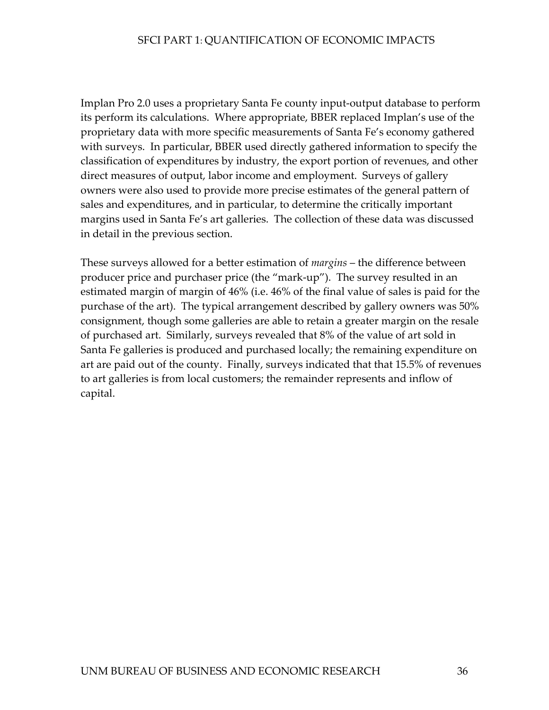Implan Pro 2.0 uses a proprietary Santa Fe county input-output database to perform its perform its calculations. Where appropriate, BBER replaced Implan's use of the proprietary data with more specific measurements of Santa Fe's economy gathered with surveys. In particular, BBER used directly gathered information to specify the classification of expenditures by industry, the export portion of revenues, and other direct measures of output, labor income and employment. Surveys of gallery owners were also used to provide more precise estimates of the general pattern of sales and expenditures, and in particular, to determine the critically important margins used in Santa Fe's art galleries. The collection of these data was discussed in detail in the previous section.

These surveys allowed for a better estimation of *margins* – the difference between producer price and purchaser price (the "mark-up"). The survey resulted in an estimated margin of margin of 46% (i.e. 46% of the final value of sales is paid for the purchase of the art). The typical arrangement described by gallery owners was 50% consignment, though some galleries are able to retain a greater margin on the resale of purchased art. Similarly, surveys revealed that 8% of the value of art sold in Santa Fe galleries is produced and purchased locally; the remaining expenditure on art are paid out of the county. Finally, surveys indicated that that 15.5% of revenues to art galleries is from local customers; the remainder represents and inflow of capital.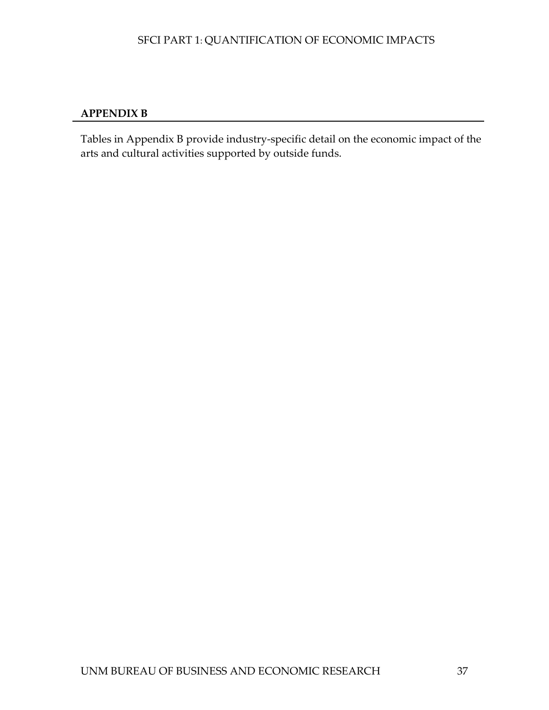## <span id="page-43-0"></span>**APPENDIX B**

Tables in Appendix B provide industry-specific detail on the economic impact of the arts and cultural activities supported by outside funds.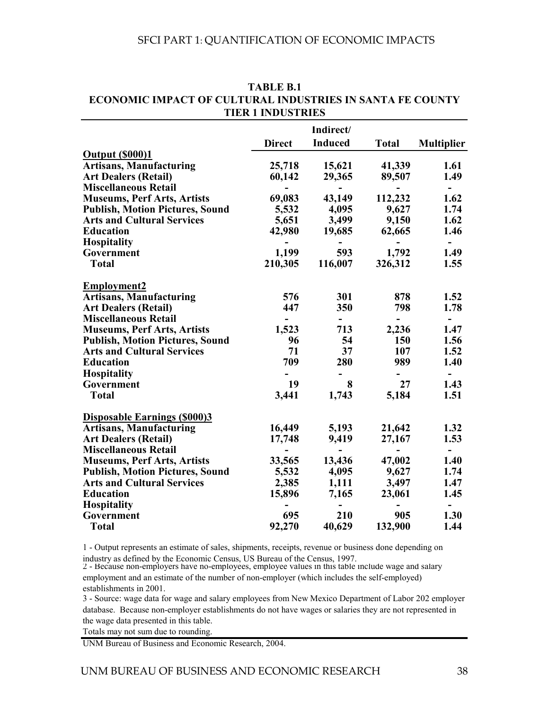|                                        |               | Indirect/      |              |                          |
|----------------------------------------|---------------|----------------|--------------|--------------------------|
|                                        | <b>Direct</b> | <b>Induced</b> | <b>Total</b> | <b>Multiplier</b>        |
| <b>Output (\$000)1</b>                 |               |                |              |                          |
| <b>Artisans, Manufacturing</b>         | 25,718        | 15,621         | 41,339       | 1.61                     |
| <b>Art Dealers (Retail)</b>            | 60,142        | 29,365         | 89,507       | 1.49                     |
| <b>Miscellaneous Retail</b>            |               |                |              | $\overline{\phantom{0}}$ |
| <b>Museums, Perf Arts, Artists</b>     | 69,083        | 43,149         | 112,232      | 1.62                     |
| <b>Publish, Motion Pictures, Sound</b> | 5,532         | 4,095          | 9,627        | 1.74                     |
| <b>Arts and Cultural Services</b>      | 5,651         | 3,499          | 9,150        | 1.62                     |
| <b>Education</b>                       | 42,980        | 19,685         | 62,665       | 1.46                     |
| <b>Hospitality</b>                     |               |                |              | $\overline{\phantom{0}}$ |
| Government                             | 1,199         | 593            | 1,792        | 1.49                     |
| <b>Total</b>                           | 210,305       | 116,007        | 326,312      | 1.55                     |
| <b>Employment2</b>                     |               |                |              |                          |
| <b>Artisans, Manufacturing</b>         | 576           | 301            | 878          | 1.52                     |
| <b>Art Dealers (Retail)</b>            | 447           | 350            | 798          | 1.78                     |
| <b>Miscellaneous Retail</b>            |               | -              | -            | -                        |
| <b>Museums, Perf Arts, Artists</b>     | 1,523         | 713            | 2,236        | 1.47                     |
| <b>Publish, Motion Pictures, Sound</b> | 96            | 54             | 150          | 1.56                     |
| <b>Arts and Cultural Services</b>      | 71            | 37             | 107          | 1.52                     |
| <b>Education</b>                       | 709           | 280            | 989          | 1.40                     |
| <b>Hospitality</b>                     |               |                |              | -                        |
| Government                             | 19            | 8              | 27           | 1.43                     |
| <b>Total</b>                           | 3,441         | 1,743          | 5,184        | 1.51                     |
| <b>Disposable Earnings (\$000)3</b>    |               |                |              |                          |
| <b>Artisans, Manufacturing</b>         | 16,449        | 5,193          | 21,642       | 1.32                     |
| <b>Art Dealers (Retail)</b>            | 17,748        | 9,419          | 27,167       | 1.53                     |
| <b>Miscellaneous Retail</b>            |               |                |              | $\overline{\phantom{a}}$ |
| <b>Museums, Perf Arts, Artists</b>     | 33,565        | 13,436         | 47,002       | 1.40                     |
| <b>Publish, Motion Pictures, Sound</b> | 5,532         | 4,095          | 9,627        | 1.74                     |
| <b>Arts and Cultural Services</b>      | 2,385         | 1,111          | 3,497        | 1.47                     |
| <b>Education</b>                       | 15,896        | 7,165          | 23,061       | 1.45                     |
| <b>Hospitality</b>                     |               |                |              |                          |
| Government                             | 695           | 210            | 905          | 1.30                     |
| <b>Total</b>                           | 92,270        | 40,629         | 132,900      | 1.44                     |

**TABLE B.1 TIER 1 INDUSTRIES ECONOMIC IMPACT OF CULTURAL INDUSTRIES IN SANTA FE COUNTY**

1 - Output represents an estimate of sales, shipments, receipts, revenue or business done depending on industry as defined by the Economic Census, US Bureau of the Census, 1997.

2 - Because non-employers have no-employees, employee values in this table include wage and salary employment and an estimate of the number of non-employer (which includes the self-employed) establishments in 2001.

3 - Source: wage data for wage and salary employees from New Mexico Department of Labor 202 employer database. Because non-employer establishments do not have wages or salaries they are not represented in the wage data presented in this table.

Totals may not sum due to rounding.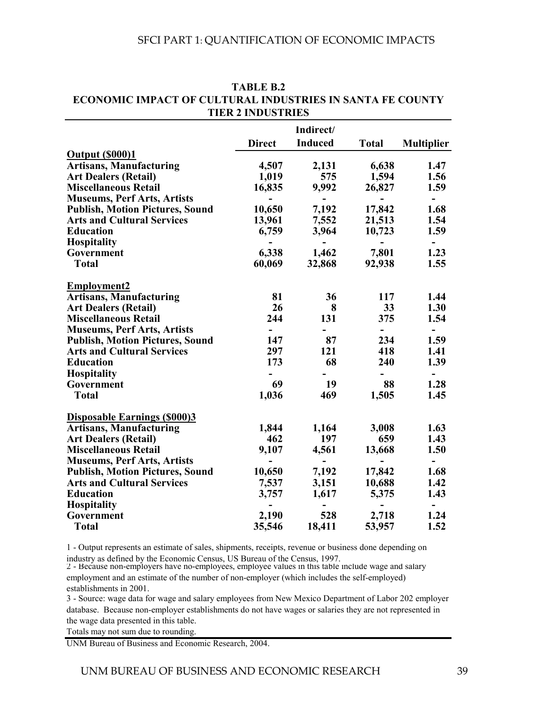|                                        |               | Indirect/      |              |                          |
|----------------------------------------|---------------|----------------|--------------|--------------------------|
|                                        | <b>Direct</b> | <b>Induced</b> | <b>Total</b> | <b>Multiplier</b>        |
| <b>Output (\$000)1</b>                 |               |                |              |                          |
| <b>Artisans, Manufacturing</b>         | 4,507         | 2,131          | 6,638        | 1.47                     |
| <b>Art Dealers (Retail)</b>            | 1,019         | 575            | 1,594        | 1.56                     |
| <b>Miscellaneous Retail</b>            | 16,835        | 9,992          | 26,827       | 1.59                     |
| <b>Museums, Perf Arts, Artists</b>     |               |                |              | $\overline{\phantom{0}}$ |
| <b>Publish, Motion Pictures, Sound</b> | 10,650        | 7,192          | 17,842       | 1.68                     |
| <b>Arts and Cultural Services</b>      | 13,961        | 7,552          | 21,513       | 1.54                     |
| <b>Education</b>                       | 6,759         | 3,964          | 10,723       | 1.59                     |
| Hospitality                            |               |                |              |                          |
| Government                             | 6,338         | 1,462          | 7,801        | 1.23                     |
| <b>Total</b>                           | 60,069        | 32,868         | 92,938       | 1.55                     |
| <b>Employment2</b>                     |               |                |              |                          |
| <b>Artisans, Manufacturing</b>         | 81            | 36             | 117          | 1.44                     |
| <b>Art Dealers (Retail)</b>            | 26            | 8              | 33           | 1.30                     |
| <b>Miscellaneous Retail</b>            | 244           | 131            | 375          | 1.54                     |
| <b>Museums, Perf Arts, Artists</b>     |               |                |              | $\overline{\phantom{a}}$ |
| <b>Publish, Motion Pictures, Sound</b> | 147           | 87             | 234          | 1.59                     |
| <b>Arts and Cultural Services</b>      | 297           | 121            | 418          | 1.41                     |
| <b>Education</b>                       | 173           | 68             | 240          | 1.39                     |
| <b>Hospitality</b>                     |               |                |              | $\overline{\phantom{a}}$ |
| Government                             | 69            | 19             | 88           | 1.28                     |
| <b>Total</b>                           | 1,036         | 469            | 1,505        | 1.45                     |
| <b>Disposable Earnings (\$000)3</b>    |               |                |              |                          |
| <b>Artisans, Manufacturing</b>         | 1,844         | 1,164          | 3,008        | 1.63                     |
| <b>Art Dealers (Retail)</b>            | 462           | 197            | 659          | 1.43                     |
| <b>Miscellaneous Retail</b>            | 9,107         | 4,561          | 13,668       | 1.50                     |
| <b>Museums, Perf Arts, Artists</b>     |               |                |              | $\overline{\phantom{a}}$ |
| <b>Publish, Motion Pictures, Sound</b> | 10,650        | 7,192          | 17,842       | 1.68                     |
| <b>Arts and Cultural Services</b>      | 7,537         | 3,151          | 10,688       | 1.42                     |
| <b>Education</b>                       | 3,757         | 1,617          | 5,375        | 1.43                     |
| <b>Hospitality</b>                     |               |                |              |                          |
| Government                             | 2,190         | 528            | 2,718        | 1.24                     |
| <b>Total</b>                           | 35,546        | 18,411         | 53,957       | 1.52                     |

#### **ECONOMIC IMPACT OF CULTURAL INDUSTRIES IN SANTA FE COUNTY TABLE B.2 TIER 2 INDUSTRIES**

1 - Output represents an estimate of sales, shipments, receipts, revenue or business done depending on industry as defined by the Economic Census, US Bureau of the Census, 1997.

2 - Because non-employers have no-employees, employee values in this table include wage and salary employment and an estimate of the number of non-employer (which includes the self-employed) establishments in 2001.

3 - Source: wage data for wage and salary employees from New Mexico Department of Labor 202 employer database. Because non-employer establishments do not have wages or salaries they are not represented in the wage data presented in this table.

Totals may not sum due to rounding.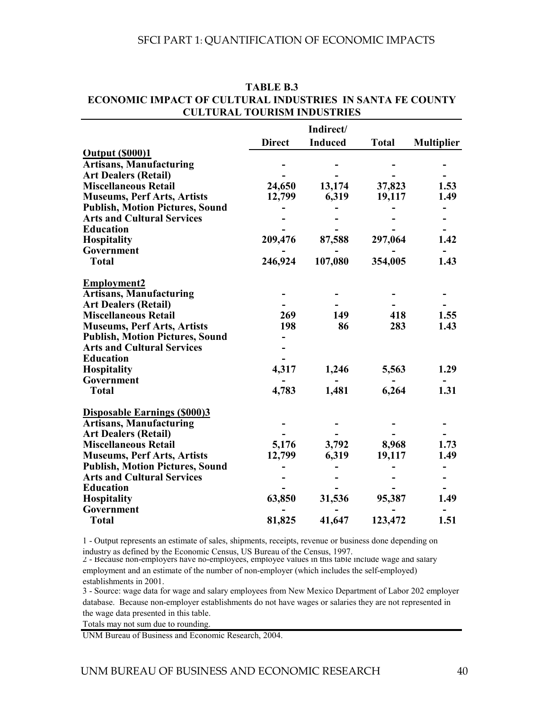|                                        |               | Indirect/      |              |                   |
|----------------------------------------|---------------|----------------|--------------|-------------------|
|                                        | <b>Direct</b> | <b>Induced</b> | <b>Total</b> | <b>Multiplier</b> |
| <b>Output (\$000)1</b>                 |               |                |              |                   |
| <b>Artisans, Manufacturing</b>         |               |                |              |                   |
| <b>Art Dealers (Retail)</b>            |               |                |              |                   |
| <b>Miscellaneous Retail</b>            | 24,650        | 13,174         | 37,823       | 1.53              |
| <b>Museums, Perf Arts, Artists</b>     | 12,799        | 6,319          | 19,117       | 1.49              |
| <b>Publish, Motion Pictures, Sound</b> |               |                |              |                   |
| <b>Arts and Cultural Services</b>      |               |                |              |                   |
| <b>Education</b>                       |               |                |              |                   |
| Hospitality                            | 209,476       | 87,588         | 297,064      | 1.42              |
| Government                             |               |                |              |                   |
| <b>Total</b>                           | 246,924       | 107,080        | 354,005      | 1.43              |
| <b>Employment2</b>                     |               |                |              |                   |
| <b>Artisans, Manufacturing</b>         |               |                |              |                   |
| <b>Art Dealers (Retail)</b>            |               |                |              |                   |
| <b>Miscellaneous Retail</b>            | 269           | 149            | 418          | 1.55              |
| <b>Museums, Perf Arts, Artists</b>     | 198           | 86             | 283          | 1.43              |
| <b>Publish, Motion Pictures, Sound</b> |               |                |              |                   |
| <b>Arts and Cultural Services</b>      |               |                |              |                   |
| <b>Education</b>                       |               |                |              |                   |
| Hospitality                            | 4,317         | 1,246          | 5,563        | 1.29              |
| Government                             |               |                |              |                   |
| <b>Total</b>                           | 4,783         | 1,481          | 6,264        | 1.31              |
| <b>Disposable Earnings (\$000)3</b>    |               |                |              |                   |
| <b>Artisans, Manufacturing</b>         |               |                |              |                   |
| <b>Art Dealers (Retail)</b>            |               |                |              |                   |
| <b>Miscellaneous Retail</b>            | 5,176         | 3,792          | 8,968        | 1.73              |
| <b>Museums, Perf Arts, Artists</b>     | 12,799        | 6,319          | 19,117       | 1.49              |
| <b>Publish, Motion Pictures, Sound</b> |               |                |              |                   |
| <b>Arts and Cultural Services</b>      |               |                |              |                   |
| <b>Education</b>                       |               |                |              |                   |
| <b>Hospitality</b>                     | 63,850        | 31,536         | 95,387       | 1.49              |
| Government                             |               |                |              |                   |
| <b>Total</b>                           | 81,825        | 41,647         | 123,472      | 1.51              |

#### **ECONOMIC IMPACT OF CULTURAL INDUSTRIES IN SANTA FE COUNTY TABLE B.3 CULTURAL TOURISM INDUSTRIES**

1 - Output represents an estimate of sales, shipments, receipts, revenue or business done depending on industry as defined by the Economic Census, US Bureau of the Census, 1997.

2 - Because non-employers have no-employees, employee values in this table include wage and salary employment and an estimate of the number of non-employer (which includes the self-employed) establishments in 2001.

3 - Source: wage data for wage and salary employees from New Mexico Department of Labor 202 employer database. Because non-employer establishments do not have wages or salaries they are not represented in the wage data presented in this table.

Totals may not sum due to rounding.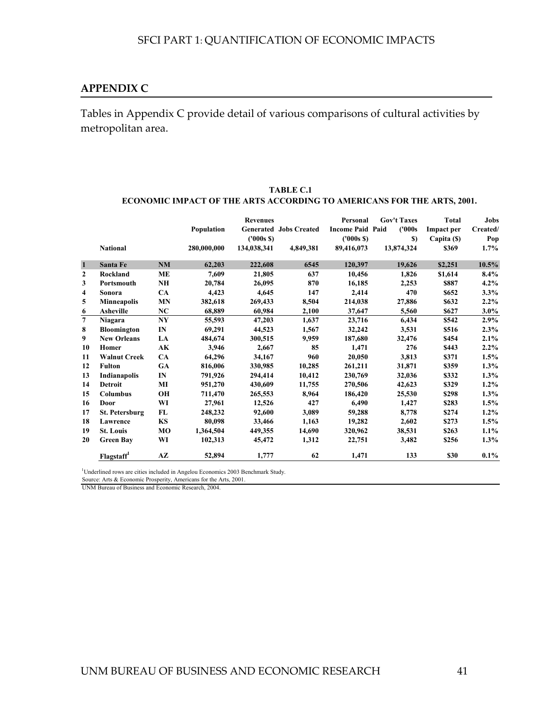#### <span id="page-47-0"></span>**APPENDIX C**

Tables in Appendix C provide detail of various comparisons of cultural activities by metropolitan area.

|              |                        |                |             | <b>Revenues</b> |                               | Personal                | <b>Gov't Taxes</b> | <b>Total</b>      | Jobs                 |
|--------------|------------------------|----------------|-------------|-----------------|-------------------------------|-------------------------|--------------------|-------------------|----------------------|
|              |                        |                | Population  |                 | <b>Generated Jobs Created</b> | <b>Income Paid Paid</b> | (1000s             | <b>Impact per</b> | $\mathbf{C}$ reated/ |
|              |                        |                |             | (1000s S)       |                               | (1000s S)               | $\mathbf{S}$       | Capita (\$)       | Pop                  |
|              | <b>National</b>        |                | 280,000,000 | 134,038,341     | 4,849,381                     | 89,416,073              | 13,874,324         | \$369             | 1.7%                 |
| $\mathbf{1}$ | Santa Fe               | NM             | 62,203      | 222,608         | 6545                          | 120,397                 | 19,626             | \$2,251           | 10.5%                |
| 2            | Rockland               | ME             | 7,609       | 21,805          | 637                           | 10,456                  | 1,826              | \$1,614           | 8.4%                 |
| 3            | Portsmouth             | NH             | 20,784      | 26,095          | 870                           | 16,185                  | 2,253              | \$887             | $4.2\%$              |
| 4            | Sonora                 | CA             | 4,423       | 4,645           | 147                           | 2,414                   | 470                | \$652             | 3.3%                 |
| 5            | <b>Minneapolis</b>     | <b>MN</b>      | 382,618     | 269,433         | 8,504                         | 214,038                 | 27,886             | \$632             | $2.2\%$              |
| 6            | <b>Asheville</b>       | NC             | 68,889      | 60,984          | 2,100                         | 37,647                  | 5,560              | \$627             | $3.0\%$              |
| 7            | Niagara                | N <sub>Y</sub> | 55,593      | 47,203          | 1,637                         | 23,716                  | 6,434              | \$542             | $2.9\%$              |
| 8            | <b>Bloomington</b>     | IN             | 69,291      | 44,523          | 1,567                         | 32,242                  | 3,531              | \$516             | 2.3%                 |
| 9            | <b>New Orleans</b>     | LA             | 484,674     | 300,515         | 9,959                         | 187,680                 | 32,476             | \$454             | 2.1%                 |
| 10           | Homer                  | AK             | 3.946       | 2.667           | 85                            | 1.471                   | 276                | \$443             | $2.2\%$              |
| 11           | <b>Walnut Creek</b>    | <b>CA</b>      | 64,296      | 34,167          | 960                           | 20,050                  | 3,813              | \$371             | 1.5%                 |
| 12           | <b>Fulton</b>          | <b>GA</b>      | 816,006     | 330,985         | 10,285                        | 261,211                 | 31,871             | \$359             | $1.3\%$              |
| 13           | Indianapolis           | IN             | 791,926     | 294,414         | 10,412                        | 230,769                 | 32,036             | \$332             | $1.3\%$              |
| 14           | <b>Detroit</b>         | MI             | 951,270     | 430,609         | 11,755                        | 270,506                 | 42,623             | \$329             | $1.2\%$              |
| 15           | <b>Columbus</b>        | <b>OH</b>      | 711,470     | 265,553         | 8,964                         | 186,420                 | 25,530             | \$298             | 1.3%                 |
| 16           | Door                   | WI             | 27,961      | 12,526          | 427                           | 6,490                   | 1,427              | \$283             | 1.5%                 |
| 17           | <b>St. Petersburg</b>  | FL             | 248,232     | 92,600          | 3,089                         | 59,288                  | 8.778              | \$274             | $1.2\%$              |
| 18           | Lawrence               | KS             | 80,098      | 33,466          | 1,163                         | 19,282                  | 2,602              | \$273             | 1.5%                 |
| 19           | <b>St. Louis</b>       | MO             | 1,364,504   | 449,355         | 14,690                        | 320,962                 | 38,531             | \$263             | $1.1\%$              |
| 20           | <b>Green Bay</b>       | WI             | 102,313     | 45,472          | 1,312                         | 22,751                  | 3,482              | \$256             | 1.3%                 |
|              | Flagstaff <sup>1</sup> | AZ             | 52,894      | 1,777           | 62                            | 1,471                   | 133                | \$30              | $0.1\%$              |

#### **TABLE C.1 ECONOMIC IMPACT OF THE ARTS ACCORDING TO AMERICANS FOR THE ARTS, 2001.**

<sup>1</sup>Underlined rows are cities included in Angelou Economics 2003 Benchmark Study.

Source: Arts & Economic Prosperity, Americans for the Arts, 2001.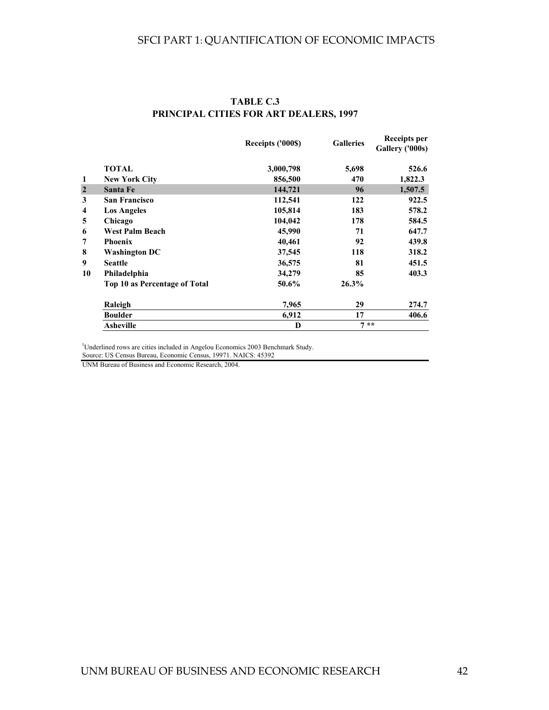|                |                               | Receipts ('000\$) | <b>Galleries</b> | <b>Receipts per</b><br>Gallery ('000s) |
|----------------|-------------------------------|-------------------|------------------|----------------------------------------|
|                | <b>TOTAL</b>                  | 3,000,798         | 5,698            | 526.6                                  |
| 1              | <b>New York City</b>          | 856,500           | 470              | 1,822.3                                |
| $\overline{2}$ | <b>Santa Fe</b>               | 144,721           | 96               | 1,507.5                                |
| 3              | <b>San Francisco</b>          | 112,541           | 122              | 922.5                                  |
| 4              | <b>Los Angeles</b>            | 105,814           | 183              | 578.2                                  |
| 5              | Chicago                       | 104,042           | 178              | 584.5                                  |
| 6              | <b>West Palm Beach</b>        | 45,990            | 71               | 647.7                                  |
| 7              | <b>Phoenix</b>                | 40,461            | 92               | 439.8                                  |
| 8              | <b>Washington DC</b>          | 37,545            | 118              | 318.2                                  |
| 9              | <b>Seattle</b>                | 36,575            | 81               | 451.5                                  |
| 10             | Philadelphia                  | 34,279            | 85               | 403.3                                  |
|                | Top 10 as Percentage of Total | 50.6%             | 26.3%            |                                        |
|                | Raleigh                       | 7,965             | 29               | 274.7                                  |
|                | <b>Boulder</b>                | 6,912             | 17               | 406.6                                  |
|                | <b>Asheville</b>              | D                 | $7 * *$          |                                        |

#### **PRINCIPAL CITIES FOR ART DEALERS, 1997 TABLE C.3**

<sup>1</sup>Underlined rows are cities included in Angelou Economics 2003 Benchmark Study.

Source: US Census Bureau, Economic Census, 19971. NAICS: 45392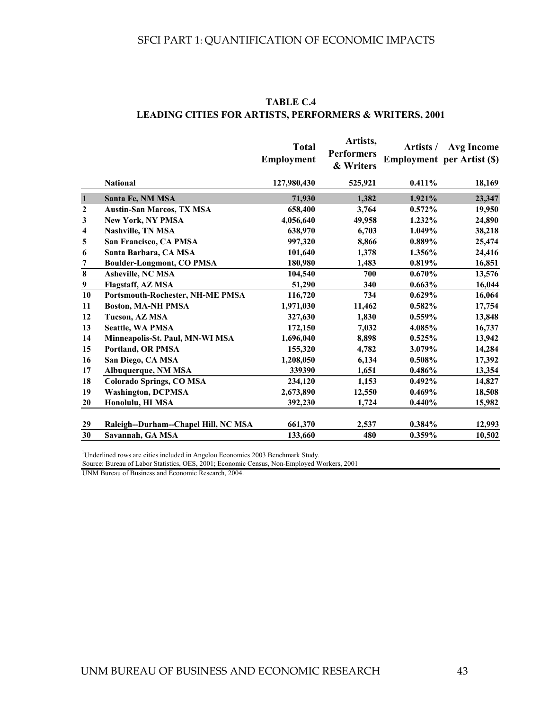|                  |                                         | <b>Total</b><br><b>Employment</b><br>127,980,430 | Artists,<br><b>Performers</b><br>& Writers<br>525,921 | Artists /<br>$0.411\%$ | <b>Avg Income</b><br><b>Employment</b> per Artist (\$)<br>18,169 |
|------------------|-----------------------------------------|--------------------------------------------------|-------------------------------------------------------|------------------------|------------------------------------------------------------------|
|                  | <b>National</b>                         |                                                  |                                                       |                        |                                                                  |
| $\mathbf{1}$     | Santa Fe, NM MSA                        | 71,930                                           | 1,382                                                 | 1.921%                 | 23,347                                                           |
| $\boldsymbol{2}$ | <b>Austin-San Marcos, TX MSA</b>        | 658,400                                          | 3,764                                                 | 0.572%                 | 19,950                                                           |
| 3                | <b>New York, NY PMSA</b>                | 4,056,640                                        | 49,958                                                | 1.232%                 | 24,890                                                           |
| 4                | <b>Nashville, TN MSA</b>                | 638,970                                          | 6,703                                                 | 1.049%                 | 38,218                                                           |
| 5                | San Francisco, CA PMSA                  | 997,320                                          | 8,866                                                 | 0.889%                 | 25,474                                                           |
| 6                | Santa Barbara, CA MSA                   | 101,640                                          | 1,378                                                 | 1.356%                 | 24,416                                                           |
| 7                | <b>Boulder-Longmont, CO PMSA</b>        | 180,980                                          | 1,483                                                 | $0.819\%$              | 16,851                                                           |
| $\bf 8$          | <b>Asheville, NC MSA</b>                | 104,540                                          | 700                                                   | 0.670%                 | 13,576                                                           |
| $\boldsymbol{9}$ | <b>Flagstaff, AZ MSA</b>                | 51,290                                           | 340                                                   | 0.663%                 | 16,044                                                           |
| 10               | <b>Portsmouth-Rochester, NH-ME PMSA</b> | 116,720                                          | 734                                                   | $0.629\%$              | 16,064                                                           |
| 11               | <b>Boston, MA-NH PMSA</b>               | 1,971,030                                        | 11,462                                                | 0.582%                 | 17,754                                                           |
| 12               | Tucson, AZ MSA                          | 327,630                                          | 1,830                                                 | 0.559%                 | 13,848                                                           |
| 13               | <b>Seattle, WA PMSA</b>                 | 172,150                                          | 7,032                                                 | 4.085%                 | 16,737                                                           |
| 14               | Minneapolis-St. Paul, MN-WI MSA         | 1,696,040                                        | 8,898                                                 | 0.525%                 | 13,942                                                           |
| 15               | <b>Portland, OR PMSA</b>                | 155,320                                          | 4,782                                                 | 3.079%                 | 14,284                                                           |
| 16               | San Diego, CA MSA                       | 1,208,050                                        | 6,134                                                 | $0.508\%$              | 17,392                                                           |
| 17               | Albuquerque, NM MSA                     | 339390                                           | 1,651                                                 | $0.486\%$              | 13,354                                                           |
| 18               | <b>Colorado Springs, CO MSA</b>         | 234,120                                          | 1,153                                                 | $0.492\%$              | 14,827                                                           |
| 19               | <b>Washington, DCPMSA</b>               | 2,673,890                                        | 12,550                                                | 0.469%                 | 18,508                                                           |
| 20               | Honolulu, HI MSA                        | 392,230                                          | 1,724                                                 | 0.440%                 | 15,982                                                           |
| 29               | Raleigh--Durham--Chapel Hill, NC MSA    | 661,370                                          | 2,537                                                 | 0.384%                 | 12,993                                                           |
| 30               | Savannah, GA MSA                        | 133,660                                          | 480                                                   | 0.359%                 | 10,502                                                           |

#### **LEADING CITIES FOR ARTISTS, PERFORMERS & WRITERS, 2001 TABLE C.4**

<sup>1</sup>Underlined rows are cities included in Angelou Economics 2003 Benchmark Study.

Source: Bureau of Labor Statistics, OES, 2001; Economic Census, Non-Employed Workers, 2001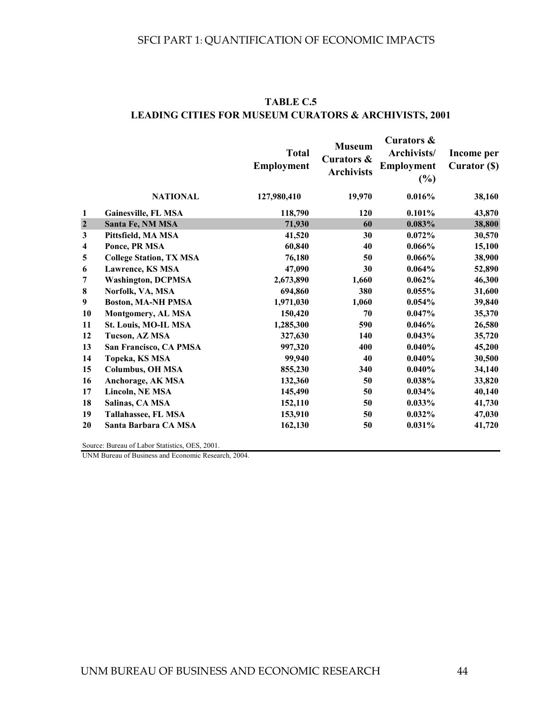|                         |                                | <b>Total</b><br><b>Employment</b> | <b>Museum</b><br>Curators &<br><b>Archivists</b> | Curators &<br>Archivists/<br>Employment<br>(%) | Income per<br>Curator (\$) |
|-------------------------|--------------------------------|-----------------------------------|--------------------------------------------------|------------------------------------------------|----------------------------|
|                         | <b>NATIONAL</b>                | 127,980,410                       | 19,970                                           | 0.016%                                         | 38,160                     |
| 1                       | Gainesville, FL MSA            | 118,790                           | 120                                              | 0.101%                                         | 43,870                     |
| $\overline{\mathbf{c}}$ | Santa Fe, NM MSA               | 71,930                            | 60                                               | 0.083%                                         | 38,800                     |
| $\overline{\mathbf{3}}$ | Pittsfield, MA MSA             | 41,520                            | 30                                               | 0.072%                                         | 30,570                     |
| 4                       | Ponce, PR MSA                  | 60,840                            | 40                                               | $0.066\%$                                      | 15,100                     |
| 5                       | <b>College Station, TX MSA</b> | 76,180                            | 50                                               | 0.066%                                         | 38,900                     |
| 6                       | <b>Lawrence, KS MSA</b>        | 47,090                            | 30                                               | $0.064\%$                                      | 52,890                     |
| 7                       | <b>Washington, DCPMSA</b>      | 2,673,890                         | 1,660                                            | 0.062%                                         | 46,300                     |
| 8                       | Norfolk, VA, MSA               | 694,860                           | 380                                              | $0.055\%$                                      | 31,600                     |
| 9                       | <b>Boston, MA-NH PMSA</b>      | 1,971,030                         | 1,060                                            | 0.054%                                         | 39,840                     |
| 10                      | Montgomery, AL MSA             | 150,420                           | 70                                               | 0.047%                                         | 35,370                     |
| 11                      | St. Louis, MO-IL MSA           | 1,285,300                         | 590                                              | 0.046%                                         | 26,580                     |
| 12                      | Tucson, AZ MSA                 | 327,630                           | 140                                              | 0.043%                                         | 35,720                     |
| 13                      | San Francisco, CA PMSA         | 997,320                           | 400                                              | 0.040%                                         | 45,200                     |
| 14                      | Topeka, KS MSA                 | 99,940                            | 40                                               | 0.040%                                         | 30,500                     |
| 15                      | <b>Columbus, OH MSA</b>        | 855,230                           | 340                                              | 0.040%                                         | 34,140                     |
| 16                      | Anchorage, AK MSA              | 132,360                           | 50                                               | 0.038%                                         | 33,820                     |
| 17                      | <b>Lincoln, NE MSA</b>         | 145,490                           | 50                                               | $0.034\%$                                      | 40,140                     |
| 18                      | Salinas, CA MSA                | 152,110                           | 50                                               | $0.033\%$                                      | 41,730                     |
| 19                      | Tallahassee, FL MSA            | 153,910                           | 50                                               | $0.032\%$                                      | 47,030                     |
| 20                      | Santa Barbara CA MSA           | 162,130                           | 50                                               | 0.031%                                         | 41,720                     |
|                         |                                |                                   |                                                  |                                                |                            |

#### **TABLE C.5 LEADING CITIES FOR MUSEUM CURATORS & ARCHIVISTS, 2001**

Source: Bureau of Labor Statistics, OES, 2001.